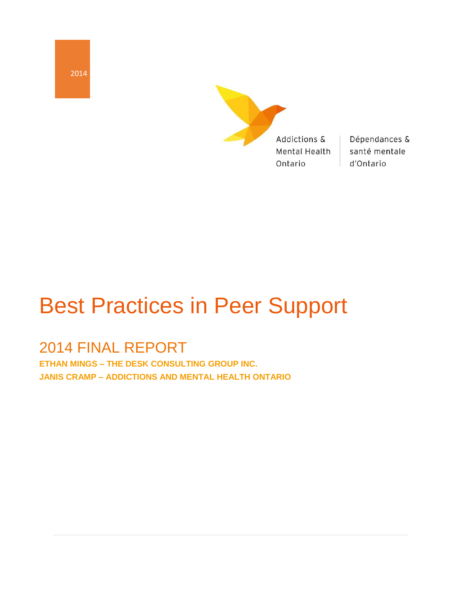2014



Dépendances & santé mentale d'Ontario

# Best Practices in Peer Support

# 2014 FINAL REPORT

**ETHAN MINGS – THE DESK CONSULTING GROUP INC. JANIS CRAMP – ADDICTIONS AND MENTAL HEALTH ONTARIO**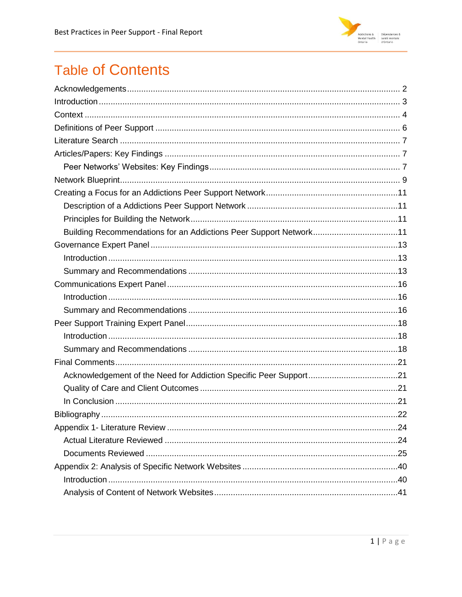

# **Table of Contents**

| Building Recommendations for an Addictions Peer Support Network11 |  |
|-------------------------------------------------------------------|--|
|                                                                   |  |
|                                                                   |  |
|                                                                   |  |
|                                                                   |  |
|                                                                   |  |
|                                                                   |  |
|                                                                   |  |
|                                                                   |  |
|                                                                   |  |
|                                                                   |  |
|                                                                   |  |
|                                                                   |  |
|                                                                   |  |
|                                                                   |  |
|                                                                   |  |
|                                                                   |  |
|                                                                   |  |
|                                                                   |  |
|                                                                   |  |
|                                                                   |  |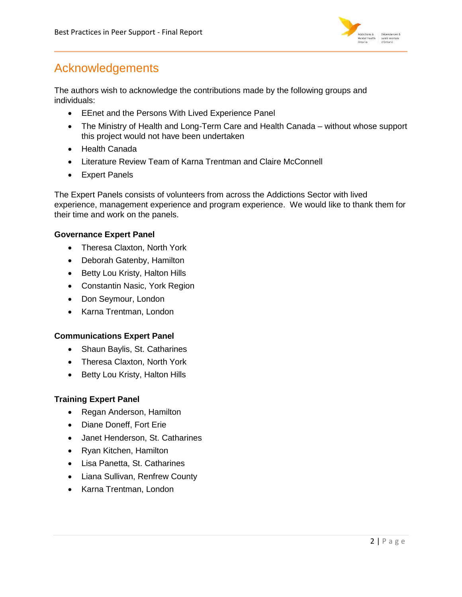

# <span id="page-2-0"></span>Acknowledgements

The authors wish to acknowledge the contributions made by the following groups and individuals:

- **EEnet and the Persons With Lived Experience Panel**
- The Ministry of Health and Long-Term Care and Health Canada without whose support this project would not have been undertaken
- Health Canada
- Literature Review Team of Karna Trentman and Claire McConnell
- Expert Panels

The Expert Panels consists of volunteers from across the Addictions Sector with lived experience, management experience and program experience. We would like to thank them for their time and work on the panels.

# **Governance Expert Panel**

- Theresa Claxton, North York
- Deborah Gatenby, Hamilton
- Betty Lou Kristy, Halton Hills
- Constantin Nasic, York Region
- Don Seymour, London
- Karna Trentman, London

### **Communications Expert Panel**

- Shaun Baylis, St. Catharines
- Theresa Claxton, North York
- Betty Lou Kristy, Halton Hills

### **Training Expert Panel**

- Regan Anderson, Hamilton
- Diane Doneff, Fort Erie
- Janet Henderson, St. Catharines
- Ryan Kitchen, Hamilton
- Lisa Panetta, St. Catharines
- Liana Sullivan, Renfrew County
- Karna Trentman, London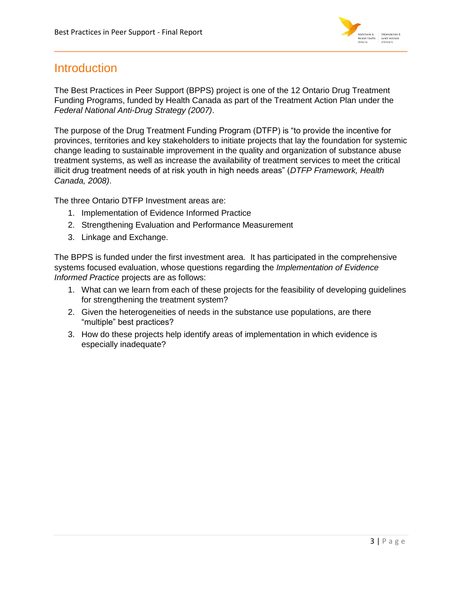

# <span id="page-3-0"></span>**Introduction**

The Best Practices in Peer Support (BPPS) project is one of the 12 Ontario Drug Treatment Funding Programs, funded by Health Canada as part of the Treatment Action Plan under the *Federal National Anti-Drug Strategy (2007)*.

The purpose of the Drug Treatment Funding Program (DTFP) is "to provide the incentive for provinces, territories and key stakeholders to initiate projects that lay the foundation for systemic change leading to sustainable improvement in the quality and organization of substance abuse treatment systems, as well as increase the availability of treatment services to meet the critical illicit drug treatment needs of at risk youth in high needs areas" (*DTFP Framework, Health Canada, 2008)*.

The three Ontario DTFP Investment areas are:

- 1. Implementation of Evidence Informed Practice
- 2. Strengthening Evaluation and Performance Measurement
- 3. Linkage and Exchange.

The BPPS is funded under the first investment area*.* It has participated in the comprehensive systems focused evaluation, whose questions regarding the *Implementation of Evidence Informed Practice* projects are as follows:

- 1. What can we learn from each of these projects for the feasibility of developing guidelines for strengthening the treatment system?
- 2. Given the heterogeneities of needs in the substance use populations, are there "multiple" best practices?
- 3. How do these projects help identify areas of implementation in which evidence is especially inadequate?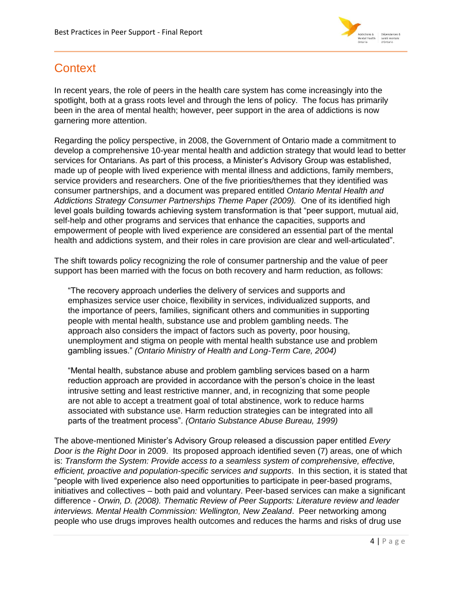

# <span id="page-4-0"></span>**Context**

In recent years, the role of peers in the health care system has come increasingly into the spotlight, both at a grass roots level and through the lens of policy. The focus has primarily been in the area of mental health; however, peer support in the area of addictions is now garnering more attention.

Regarding the policy perspective, in 2008, the Government of Ontario made a commitment to develop a comprehensive 10-year mental health and addiction strategy that would lead to better services for Ontarians. As part of this process, a Minister's Advisory Group was established, made up of people with lived experience with mental illness and addictions, family members, service providers and researchers. One of the five priorities/themes that they identified was consumer partnerships, and a document was prepared entitled *Ontario Mental Health and Addictions Strategy Consumer Partnerships Theme Paper (2009).* One of its identified high level goals building towards achieving system transformation is that "peer support, mutual aid, self-help and other programs and services that enhance the capacities, supports and empowerment of people with lived experience are considered an essential part of the mental health and addictions system, and their roles in care provision are clear and well-articulated".

The shift towards policy recognizing the role of consumer partnership and the value of peer support has been married with the focus on both recovery and harm reduction, as follows:

"The recovery approach underlies the delivery of services and supports and emphasizes service user choice, flexibility in services, individualized supports, and the importance of peers, families, significant others and communities in supporting people with mental health, substance use and problem gambling needs. The approach also considers the impact of factors such as poverty, poor housing, unemployment and stigma on people with mental health substance use and problem gambling issues." *(Ontario Ministry of Health and Long-Term Care, 2004)*

"Mental health, substance abuse and problem gambling services based on a harm reduction approach are provided in accordance with the person's choice in the least intrusive setting and least restrictive manner, and, in recognizing that some people are not able to accept a treatment goal of total abstinence, work to reduce harms associated with substance use. Harm reduction strategies can be integrated into all parts of the treatment process". *(Ontario Substance Abuse Bureau, 1999)*

The above-mentioned Minister's Advisory Group released a discussion paper entitled *Every Door is the Right Door* in 2009. Its proposed approach identified seven (7) areas, one of which is: *Transform the System: Provide access to a seamless system of comprehensive, effective, efficient, proactive and population-specific services and supports*. In this section, it is stated that "people with lived experience also need opportunities to participate in peer-based programs, initiatives and collectives – both paid and voluntary. Peer-based services can make a significant difference - *Orwin, D. (2008). Thematic Review of Peer Supports: Literature review and leader interviews. Mental Health Commission: Wellington, New Zealand*. Peer networking among people who use drugs improves health outcomes and reduces the harms and risks of drug use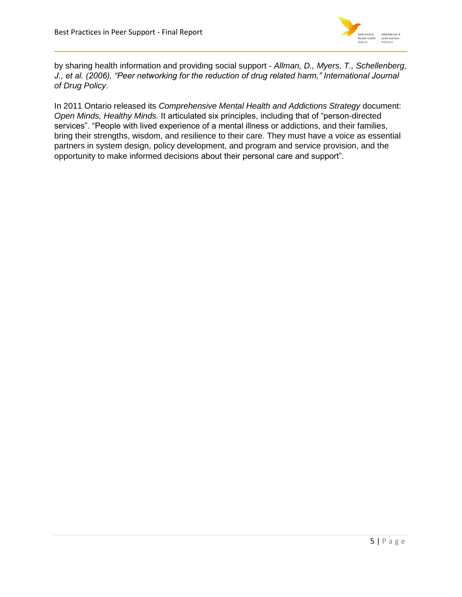

by sharing health information and providing social support - *Allman, D., Myers, T., Schellenberg, J., et al. (2006), "Peer networking for the reduction of drug related harm," International Journal of Drug Policy*.

In 2011 Ontario released its *Comprehensive Mental Health and Addictions Strategy* document: *Open Minds, Healthy Minds.* It articulated six principles, including that of "person-directed services". "People with lived experience of a mental illness or addictions, and their families, bring their strengths, wisdom, and resilience to their care. They must have a voice as essential partners in system design, policy development, and program and service provision, and the opportunity to make informed decisions about their personal care and support".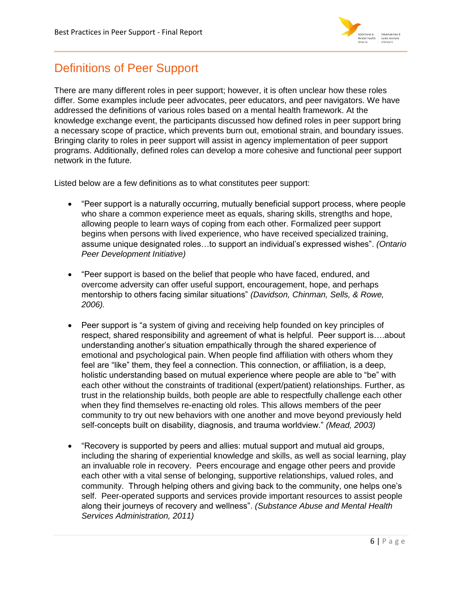

# <span id="page-6-0"></span>Definitions of Peer Support

There are many different roles in peer support; however, it is often unclear how these roles differ. Some examples include peer advocates, peer educators, and peer navigators. We have addressed the definitions of various roles based on a mental health framework. At the knowledge exchange event, the participants discussed how defined roles in peer support bring a necessary scope of practice, which prevents burn out, emotional strain, and boundary issues. Bringing clarity to roles in peer support will assist in agency implementation of peer support programs. Additionally, defined roles can develop a more cohesive and functional peer support network in the future.

Listed below are a few definitions as to what constitutes peer support:

- "Peer support is a naturally occurring, mutually beneficial support process, where people who share a common experience meet as equals, sharing skills, strengths and hope, allowing people to learn ways of coping from each other. Formalized peer support begins when persons with lived experience, who have received specialized training, assume unique designated roles…to support an individual's expressed wishes". *(Ontario Peer Development Initiative)*
- "Peer support is based on the belief that people who have faced, endured, and overcome adversity can offer useful support, encouragement, hope, and perhaps mentorship to others facing similar situations" *(Davidson, Chinman, Sells, & Rowe, 2006).*
- Peer support is "a system of giving and receiving help founded on key principles of respect, shared responsibility and agreement of what is helpful. Peer support is….about understanding another's situation empathically through the shared experience of emotional and psychological pain. When people find affiliation with others whom they feel are "like" them, they feel a connection. This connection, or affiliation, is a deep, holistic understanding based on mutual experience where people are able to "be" with each other without the constraints of traditional (expert/patient) relationships. Further, as trust in the relationship builds, both people are able to respectfully challenge each other when they find themselves re-enacting old roles. This allows members of the peer community to try out new behaviors with one another and move beyond previously held self-concepts built on disability, diagnosis, and trauma worldview." *(Mead, 2003)*
- "Recovery is supported by peers and allies: mutual support and mutual aid groups, including the sharing of experiential knowledge and skills, as well as social learning, play an invaluable role in recovery. Peers encourage and engage other peers and provide each other with a vital sense of belonging, supportive relationships, valued roles, and community. Through helping others and giving back to the community, one helps one's self. Peer-operated supports and services provide important resources to assist people along their journeys of recovery and wellness". *(Substance Abuse and Mental Health Services Administration, 2011)*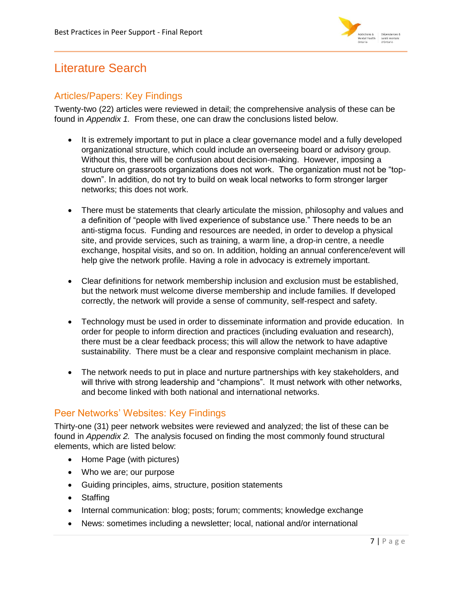

# <span id="page-7-0"></span>Literature Search

# <span id="page-7-1"></span>Articles/Papers: Key Findings

Twenty-two (22) articles were reviewed in detail; the comprehensive analysis of these can be found in *Appendix 1.* From these, one can draw the conclusions listed below.

- It is extremely important to put in place a clear governance model and a fully developed organizational structure, which could include an overseeing board or advisory group. Without this, there will be confusion about decision-making. However, imposing a structure on grassroots organizations does not work. The organization must not be "topdown". In addition, do not try to build on weak local networks to form stronger larger networks; this does not work.
- There must be statements that clearly articulate the mission, philosophy and values and a definition of "people with lived experience of substance use." There needs to be an anti-stigma focus. Funding and resources are needed, in order to develop a physical site, and provide services, such as training, a warm line, a drop-in centre, a needle exchange, hospital visits, and so on. In addition, holding an annual conference/event will help give the network profile. Having a role in advocacy is extremely important.
- Clear definitions for network membership inclusion and exclusion must be established, but the network must welcome diverse membership and include families. If developed correctly, the network will provide a sense of community, self-respect and safety.
- Technology must be used in order to disseminate information and provide education. In order for people to inform direction and practices (including evaluation and research), there must be a clear feedback process; this will allow the network to have adaptive sustainability. There must be a clear and responsive complaint mechanism in place.
- The network needs to put in place and nurture partnerships with key stakeholders, and will thrive with strong leadership and "champions". It must network with other networks, and become linked with both national and international networks.

# <span id="page-7-2"></span>Peer Networks' Websites: Key Findings

Thirty-one (31) peer network websites were reviewed and analyzed; the list of these can be found in *Appendix 2.* The analysis focused on finding the most commonly found structural elements, which are listed below:

- Home Page (with pictures)
- Who we are; our purpose
- Guiding principles, aims, structure, position statements
- Staffing
- Internal communication: blog; posts; forum; comments; knowledge exchange
- News: sometimes including a newsletter; local, national and/or international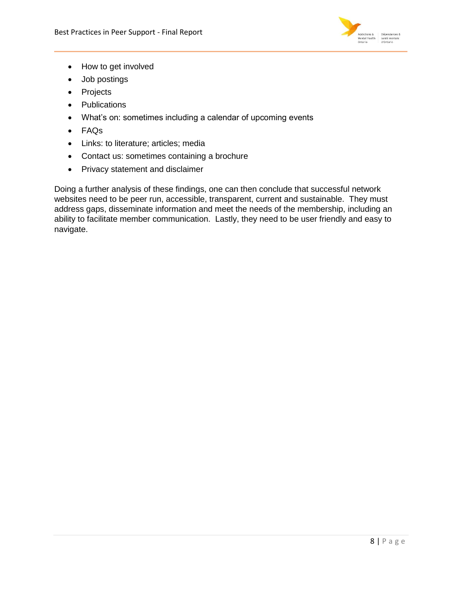

- How to get involved
- Job postings
- Projects
- Publications
- What's on: sometimes including a calendar of upcoming events
- FAQs
- Links: to literature; articles; media
- Contact us: sometimes containing a brochure
- Privacy statement and disclaimer

Doing a further analysis of these findings, one can then conclude that successful network websites need to be peer run, accessible, transparent, current and sustainable. They must address gaps, disseminate information and meet the needs of the membership, including an ability to facilitate member communication. Lastly, they need to be user friendly and easy to navigate.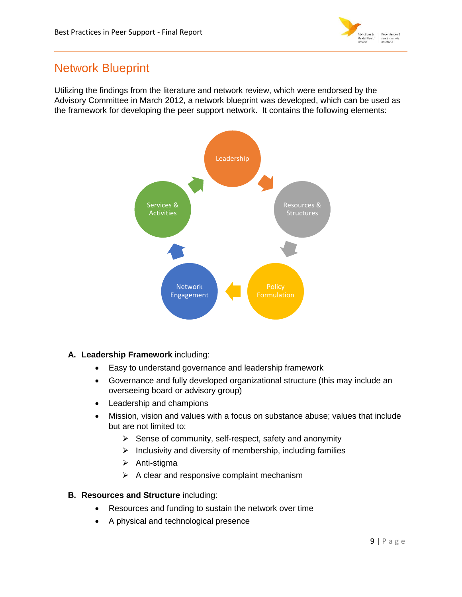

# <span id="page-9-0"></span>Network Blueprint

Utilizing the findings from the literature and network review, which were endorsed by the Advisory Committee in March 2012, a network blueprint was developed, which can be used as the framework for developing the peer support network. It contains the following elements:



# **A. Leadership Framework** including:

- Easy to understand governance and leadership framework
- Governance and fully developed organizational structure (this may include an overseeing board or advisory group)
- Leadership and champions
- Mission, vision and values with a focus on substance abuse; values that include but are not limited to:
	- $\triangleright$  Sense of community, self-respect, safety and anonymity
	- $\triangleright$  Inclusivity and diversity of membership, including families
	- $\triangleright$  Anti-stigma
	- $\triangleright$  A clear and responsive complaint mechanism

# **B. Resources and Structure** including:

- Resources and funding to sustain the network over time
- A physical and technological presence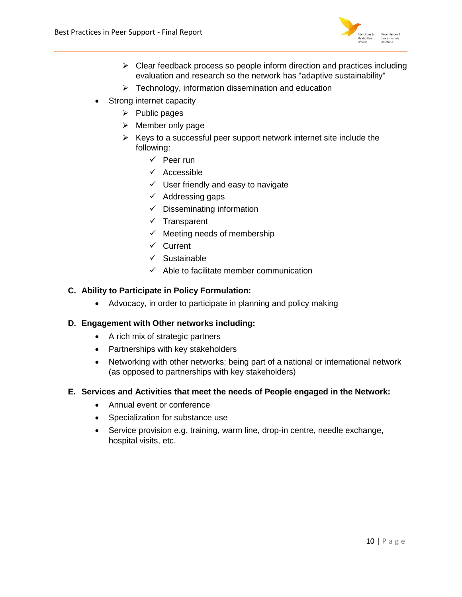

- $\triangleright$  Clear feedback process so people inform direction and practices including evaluation and research so the network has "adaptive sustainability"
- $\triangleright$  Technology, information dissemination and education
- Strong internet capacity
	- $\triangleright$  Public pages
	- $\triangleright$  Member only page
	- $\triangleright$  Keys to a successful peer support network internet site include the following:
		- $\checkmark$  Peer run
		- $\checkmark$  Accessible
		- $\checkmark$  User friendly and easy to navigate
		- $\checkmark$  Addressing gaps
		- $\checkmark$  Disseminating information
		- $\checkmark$  Transparent
		- $\checkmark$  Meeting needs of membership
		- $\checkmark$  Current
		- $\checkmark$  Sustainable
		- $\checkmark$  Able to facilitate member communication

# **C. Ability to Participate in Policy Formulation:**

• Advocacy, in order to participate in planning and policy making

# **D. Engagement with Other networks including:**

- A rich mix of strategic partners
- Partnerships with key stakeholders
- Networking with other networks; being part of a national or international network (as opposed to partnerships with key stakeholders)

### **E. Services and Activities that meet the needs of People engaged in the Network:**

- Annual event or conference
- Specialization for substance use
- Service provision e.g. training, warm line, drop-in centre, needle exchange, hospital visits, etc.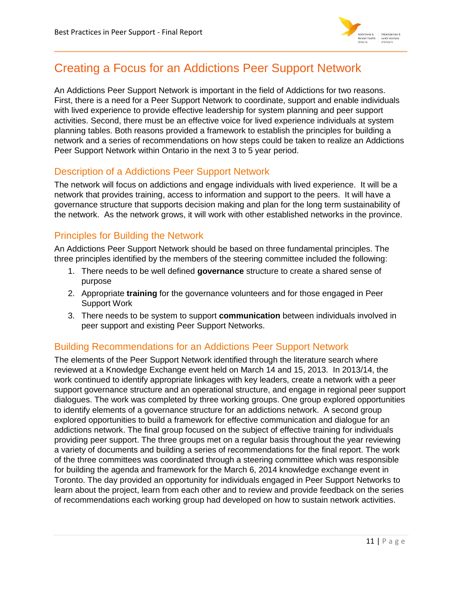

# <span id="page-11-0"></span>Creating a Focus for an Addictions Peer Support Network

An Addictions Peer Support Network is important in the field of Addictions for two reasons. First, there is a need for a Peer Support Network to coordinate, support and enable individuals with lived experience to provide effective leadership for system planning and peer support activities. Second, there must be an effective voice for lived experience individuals at system planning tables. Both reasons provided a framework to establish the principles for building a network and a series of recommendations on how steps could be taken to realize an Addictions Peer Support Network within Ontario in the next 3 to 5 year period.

# <span id="page-11-1"></span>Description of a Addictions Peer Support Network

The network will focus on addictions and engage individuals with lived experience. It will be a network that provides training, access to information and support to the peers. It will have a governance structure that supports decision making and plan for the long term sustainability of the network. As the network grows, it will work with other established networks in the province.

# <span id="page-11-2"></span>Principles for Building the Network

An Addictions Peer Support Network should be based on three fundamental principles. The three principles identified by the members of the steering committee included the following:

- 1. There needs to be well defined **governance** structure to create a shared sense of purpose
- 2. Appropriate **training** for the governance volunteers and for those engaged in Peer Support Work
- 3. There needs to be system to support **communication** between individuals involved in peer support and existing Peer Support Networks.

# <span id="page-11-3"></span>Building Recommendations for an Addictions Peer Support Network

The elements of the Peer Support Network identified through the literature search where reviewed at a Knowledge Exchange event held on March 14 and 15, 2013. In 2013/14, the work continued to identify appropriate linkages with key leaders, create a network with a peer support governance structure and an operational structure, and engage in regional peer support dialogues. The work was completed by three working groups. One group explored opportunities to identify elements of a governance structure for an addictions network. A second group explored opportunities to build a framework for effective communication and dialogue for an addictions network. The final group focused on the subject of effective training for individuals providing peer support. The three groups met on a regular basis throughout the year reviewing a variety of documents and building a series of recommendations for the final report. The work of the three committees was coordinated through a steering committee which was responsible for building the agenda and framework for the March 6, 2014 knowledge exchange event in Toronto. The day provided an opportunity for individuals engaged in Peer Support Networks to learn about the project, learn from each other and to review and provide feedback on the series of recommendations each working group had developed on how to sustain network activities.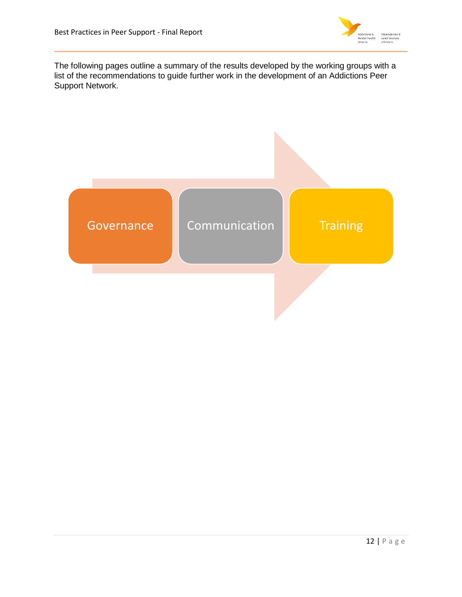

The following pages outline a summary of the results developed by the working groups with a list of the recommendations to guide further work in the development of an Addictions Peer Support Network.

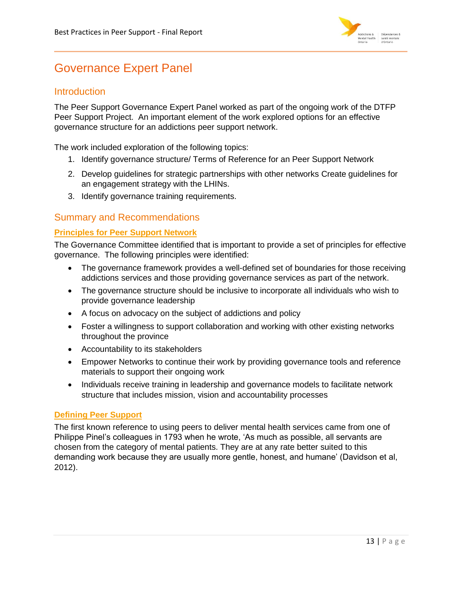

# <span id="page-13-0"></span>Governance Expert Panel

# <span id="page-13-1"></span>**Introduction**

The Peer Support Governance Expert Panel worked as part of the ongoing work of the DTFP Peer Support Project. An important element of the work explored options for an effective governance structure for an addictions peer support network.

The work included exploration of the following topics:

- 1. Identify governance structure/ Terms of Reference for an Peer Support Network
- 2. Develop guidelines for strategic partnerships with other networks Create guidelines for an engagement strategy with the LHINs.
- 3. Identify governance training requirements.

# <span id="page-13-2"></span>Summary and Recommendations

# **Principles for Peer Support Network**

The Governance Committee identified that is important to provide a set of principles for effective governance. The following principles were identified:

- The governance framework provides a well-defined set of boundaries for those receiving addictions services and those providing governance services as part of the network.
- The governance structure should be inclusive to incorporate all individuals who wish to provide governance leadership
- A focus on advocacy on the subject of addictions and policy
- Foster a willingness to support collaboration and working with other existing networks throughout the province
- Accountability to its stakeholders
- Empower Networks to continue their work by providing governance tools and reference materials to support their ongoing work
- Individuals receive training in leadership and governance models to facilitate network structure that includes mission, vision and accountability processes

# **Defining Peer Support**

The first known reference to using peers to deliver mental health services came from one of Philippe Pinel's colleagues in 1793 when he wrote, 'As much as possible, all servants are chosen from the category of mental patients. They are at any rate better suited to this demanding work because they are usually more gentle, honest, and humane' (Davidson et al, 2012).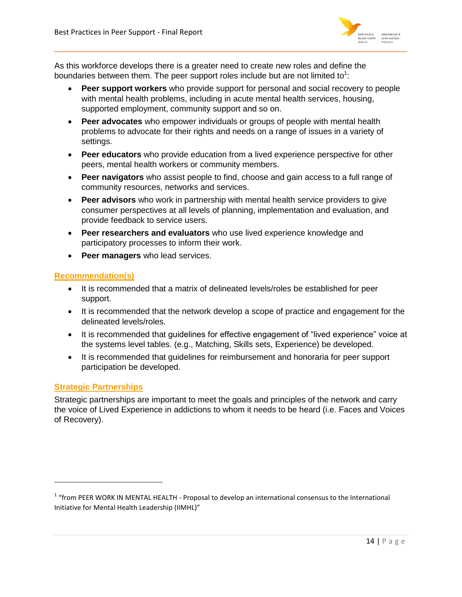

As this workforce develops there is a greater need to create new roles and define the boundaries between them. The peer support roles include but are not limited to<sup>1</sup>:

- **Peer support workers** who provide support for personal and social recovery to people with mental health problems, including in acute mental health services, housing, supported employment, community support and so on.
- **Peer advocates** who empower individuals or groups of people with mental health problems to advocate for their rights and needs on a range of issues in a variety of settings.
- **Peer educators** who provide education from a lived experience perspective for other peers, mental health workers or community members.
- **Peer navigators** who assist people to find, choose and gain access to a full range of community resources, networks and services.
- **Peer advisors** who work in partnership with mental health service providers to give consumer perspectives at all levels of planning, implementation and evaluation, and provide feedback to service users.
- **Peer researchers and evaluators** who use lived experience knowledge and participatory processes to inform their work.
- **Peer managers** who lead services.

# **Recommendation(s)**

- It is recommended that a matrix of delineated levels/roles be established for peer support.
- It is recommended that the network develop a scope of practice and engagement for the delineated levels/roles.
- It is recommended that guidelines for effective engagement of "lived experience" voice at the systems level tables. (e.g., Matching, Skills sets, Experience) be developed.
- It is recommended that quidelines for reimbursement and honoraria for peer support participation be developed.

# **Strategic Partnerships**

l

Strategic partnerships are important to meet the goals and principles of the network and carry the voice of Lived Experience in addictions to whom it needs to be heard (i.e. Faces and Voices of Recovery).

<sup>&</sup>lt;sup>1</sup> "from PEER WORK IN MENTAL HEALTH - Proposal to develop an international consensus to the International Initiative for Mental Health Leadership (IIMHL)"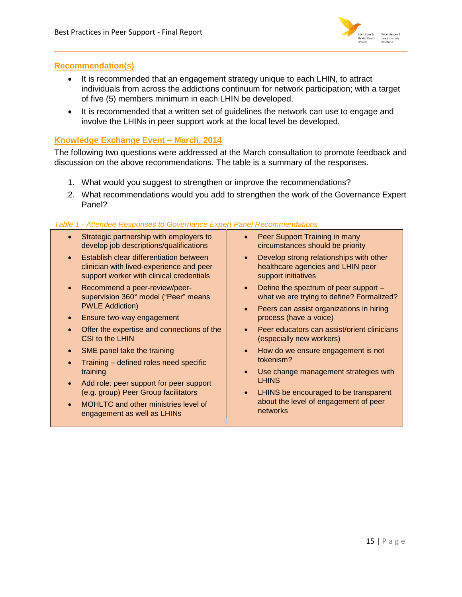

# **Recommendation(s)**

- It is recommended that an engagement strategy unique to each LHIN, to attract individuals from across the addictions continuum for network participation; with a target of five (5) members minimum in each LHIN be developed.
- It is recommended that a written set of quidelines the network can use to engage and involve the LHINs in peer support work at the local level be developed.

# **Knowledge Exchange Event – March, 2014**

The following two questions were addressed at the March consultation to promote feedback and discussion on the above recommendations. The table is a summary of the responses.

- 1. What would you suggest to strengthen or improve the recommendations?
- 2. What recommendations would you add to strengthen the work of the Governance Expert Panel?

# *Table 1 - Attendee Responses to Governance Expert Panel Recommendations*

- Strategic partnership with employers to develop job descriptions/qualifications
- **•** Establish clear differentiation between clinician with lived-experience and peer support worker with clinical credentials
- Recommend a peer-review/peersupervision 360° model ("Peer" means PWLE Addiction)
- Ensure two-way engagement
- Offer the expertise and connections of the CSI to the LHIN
- SME panel take the training
- Training defined roles need specific training
- Add role: peer support for peer support (e.g. group) Peer Group facilitators
- MOHLTC and other ministries level of engagement as well as LHINs
- Peer Support Training in many circumstances should be priority
- Develop strong relationships with other healthcare agencies and LHIN peer support initiatives
- Define the spectrum of peer support what we are trying to define? Formalized?
- Peers can assist organizations in hiring process (have a voice)
- Peer educators can assist/orient clinicians (especially new workers)
- How do we ensure engagement is not tokenism?
- Use change management strategies with **LHINS**
- LHINS be encouraged to be transparent about the level of engagement of peer networks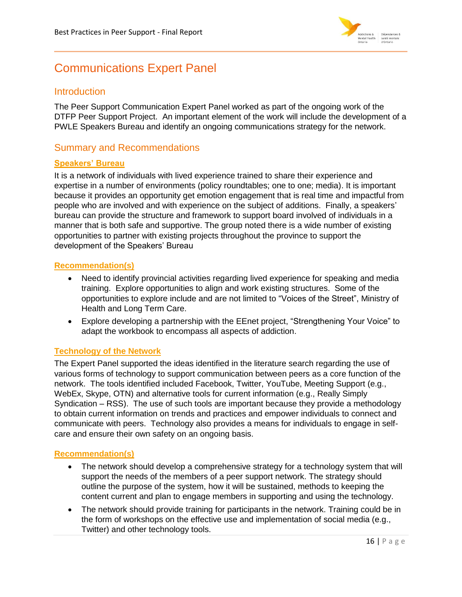

# <span id="page-16-0"></span>Communications Expert Panel

# <span id="page-16-1"></span>**Introduction**

The Peer Support Communication Expert Panel worked as part of the ongoing work of the DTFP Peer Support Project. An important element of the work will include the development of a PWLE Speakers Bureau and identify an ongoing communications strategy for the network.

# <span id="page-16-2"></span>Summary and Recommendations

# **Speakers' Bureau**

It is a network of individuals with lived experience trained to share their experience and expertise in a number of environments (policy roundtables; one to one; media). It is important because it provides an opportunity get emotion engagement that is real time and impactful from people who are involved and with experience on the subject of additions. Finally, a speakers' bureau can provide the structure and framework to support board involved of individuals in a manner that is both safe and supportive. The group noted there is a wide number of existing opportunities to partner with existing projects throughout the province to support the development of the Speakers' Bureau

# **Recommendation(s)**

- Need to identify provincial activities regarding lived experience for speaking and media training. Explore opportunities to align and work existing structures. Some of the opportunities to explore include and are not limited to "Voices of the Street", Ministry of Health and Long Term Care.
- Explore developing a partnership with the EEnet project, "Strengthening Your Voice" to adapt the workbook to encompass all aspects of addiction.

# **Technology of the Network**

The Expert Panel supported the ideas identified in the literature search regarding the use of various forms of technology to support communication between peers as a core function of the network. The tools identified included Facebook, Twitter, YouTube, Meeting Support (e.g., WebEx, Skype, OTN) and alternative tools for current information (e.g., Really Simply Syndication – RSS). The use of such tools are important because they provide a methodology to obtain current information on trends and practices and empower individuals to connect and communicate with peers. Technology also provides a means for individuals to engage in selfcare and ensure their own safety on an ongoing basis.

# **Recommendation(s)**

- The network should develop a comprehensive strategy for a technology system that will support the needs of the members of a peer support network. The strategy should outline the purpose of the system, how it will be sustained, methods to keeping the content current and plan to engage members in supporting and using the technology.
- The network should provide training for participants in the network. Training could be in the form of workshops on the effective use and implementation of social media (e.g., Twitter) and other technology tools.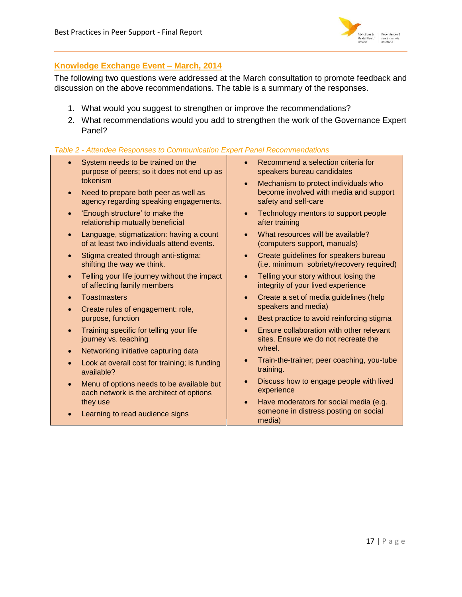

# **Knowledge Exchange Event – March, 2014**

The following two questions were addressed at the March consultation to promote feedback and discussion on the above recommendations. The table is a summary of the responses.

- 1. What would you suggest to strengthen or improve the recommendations?
- 2. What recommendations would you add to strengthen the work of the Governance Expert Panel?

### *Table 2 - Attendee Responses to Communication Expert Panel Recommendations*

- System needs to be trained on the purpose of peers; so it does not end up as tokenism
- Need to prepare both peer as well as agency regarding speaking engagements.
- 'Enough structure' to make the relationship mutually beneficial
- Language, stigmatization: having a count of at least two individuals attend events.
- Stigma created through anti-stigma: shifting the way we think.
- Telling your life journey without the impact of affecting family members
- Toastmasters
- Create rules of engagement: role, purpose, function
- Training specific for telling your life journey vs. teaching
- Networking initiative capturing data
- Look at overall cost for training; is funding available?
- Menu of options needs to be available but each network is the architect of options they use
- Learning to read audience signs
- Recommend a selection criteria for speakers bureau candidates
- Mechanism to protect individuals who become involved with media and support safety and self-care
- Technology mentors to support people after training
- What resources will be available? (computers support, manuals)
- Create guidelines for speakers bureau (i.e. minimum sobriety/recovery required)
- Telling your story without losing the integrity of your lived experience
- Create a set of media guidelines (help speakers and media)
- Best practice to avoid reinforcing stigma
- Ensure collaboration with other relevant sites. Ensure we do not recreate the wheel.
- Train-the-trainer; peer coaching, you-tube training.
- Discuss how to engage people with lived experience
- Have moderators for social media (e.g. someone in distress posting on social media)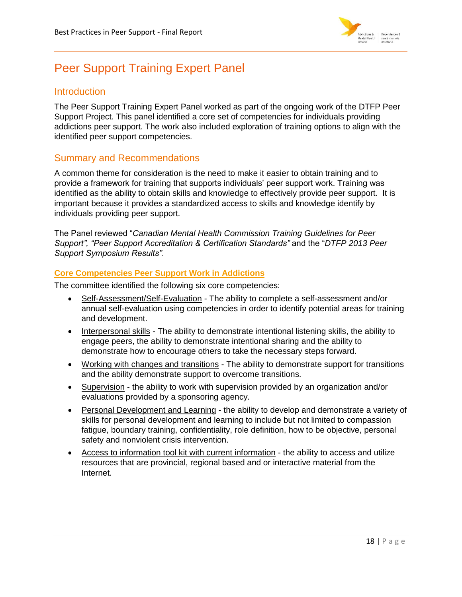

# <span id="page-18-0"></span>Peer Support Training Expert Panel

# <span id="page-18-1"></span>**Introduction**

The Peer Support Training Expert Panel worked as part of the ongoing work of the DTFP Peer Support Project. This panel identified a core set of competencies for individuals providing addictions peer support. The work also included exploration of training options to align with the identified peer support competencies.

# <span id="page-18-2"></span>Summary and Recommendations

A common theme for consideration is the need to make it easier to obtain training and to provide a framework for training that supports individuals' peer support work. Training was identified as the ability to obtain skills and knowledge to effectively provide peer support. It is important because it provides a standardized access to skills and knowledge identify by individuals providing peer support.

The Panel reviewed "*Canadian Mental Health Commission Training Guidelines for Peer Support", "Peer Support Accreditation & Certification Standards"* and the "*DTFP 2013 Peer Support Symposium Results"*.

# **Core Competencies Peer Support Work in Addictions**

The committee identified the following six core competencies:

- Self-Assessment/Self-Evaluation The ability to complete a self-assessment and/or annual self-evaluation using competencies in order to identify potential areas for training and development.
- Interpersonal skills The ability to demonstrate intentional listening skills, the ability to engage peers, the ability to demonstrate intentional sharing and the ability to demonstrate how to encourage others to take the necessary steps forward.
- Working with changes and transitions The ability to demonstrate support for transitions and the ability demonstrate support to overcome transitions.
- Supervision the ability to work with supervision provided by an organization and/or evaluations provided by a sponsoring agency.
- Personal Development and Learning the ability to develop and demonstrate a variety of skills for personal development and learning to include but not limited to compassion fatigue, boundary training, confidentiality, role definition, how to be objective, personal safety and nonviolent crisis intervention.
- Access to information tool kit with current information the ability to access and utilize resources that are provincial, regional based and or interactive material from the Internet.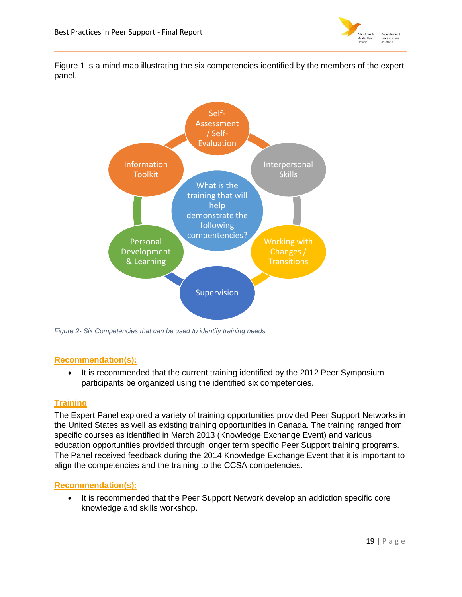

Figure 1 is a mind map illustrating the six competencies identified by the members of the expert panel.



*Figure 2- Six Competencies that can be used to identify training needs*

# **Recommendation(s):**

• It is recommended that the current training identified by the 2012 Peer Symposium participants be organized using the identified six competencies.

# **Training**

The Expert Panel explored a variety of training opportunities provided Peer Support Networks in the United States as well as existing training opportunities in Canada. The training ranged from specific courses as identified in March 2013 (Knowledge Exchange Event) and various education opportunities provided through longer term specific Peer Support training programs. The Panel received feedback during the 2014 Knowledge Exchange Event that it is important to align the competencies and the training to the CCSA competencies.

# **Recommendation(s):**

• It is recommended that the Peer Support Network develop an addiction specific core knowledge and skills workshop.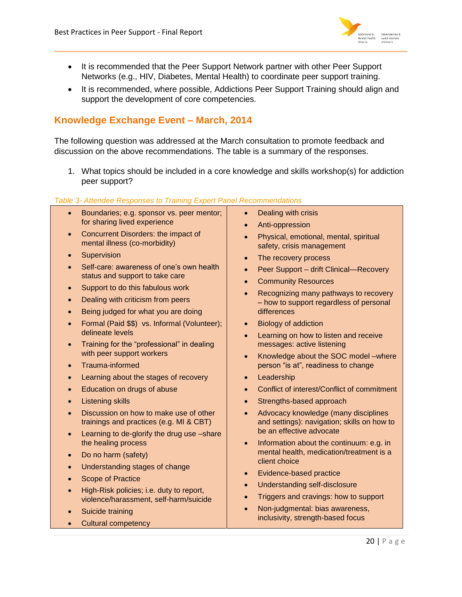

- It is recommended that the Peer Support Network partner with other Peer Support Networks (e.g., HIV, Diabetes, Mental Health) to coordinate peer support training.
- It is recommended, where possible, Addictions Peer Support Training should align and support the development of core competencies.

# **Knowledge Exchange Event – March, 2014**

The following question was addressed at the March consultation to promote feedback and discussion on the above recommendations. The table is a summary of the responses.

1. What topics should be included in a core knowledge and skills workshop(s) for addiction peer support?

### *Table 3- Attendee Responses to Training Expert Panel Recommendations*

- **Boundaries; e.g. sponsor vs. peer mentor;** for sharing lived experience
- Concurrent Disorders: the impact of mental illness (co-morbidity)
- **Supervision**
- Self-care: awareness of one's own health status and support to take care
- Support to do this fabulous work
- Dealing with criticism from peers
- Being judged for what you are doing
- Formal (Paid \$\$) vs. Informal (Volunteer); delineate levels
- Training for the "professional" in dealing with peer support workers
- Trauma-informed
- Learning about the stages of recovery
- **Education on drugs of abuse**
- Listening skills
- Discussion on how to make use of other trainings and practices (e.g. MI & CBT)
- Learning to de-glorify the drug use -share the healing process
- Do no harm (safety)
- Understanding stages of change
- Scope of Practice
- High-Risk policies; i.e. duty to report, violence/harassment, self-harm/suicide
- Suicide training
- Cultural competency
- Dealing with crisis
- Anti-oppression
- Physical, emotional, mental, spiritual safety, crisis management
- The recovery process
- Peer Support drift Clinical—Recovery
- **Community Resources**
- Recognizing many pathways to recovery – how to support regardless of personal differences
- Biology of addiction
- Learning on how to listen and receive messages: active listening
- Knowledge about the SOC model –where person "is at", readiness to change
- Leadership
- Conflict of interest/Conflict of commitment
- Strengths-based approach
- Advocacy knowledge (many disciplines and settings): navigation; skills on how to be an effective advocate
- Information about the continuum: e.g. in mental health, medication/treatment is a client choice
- Evidence-based practice
- Understanding self-disclosure
- Triggers and cravings: how to support
- Non-judgmental: bias awareness, inclusivity, strength-based focus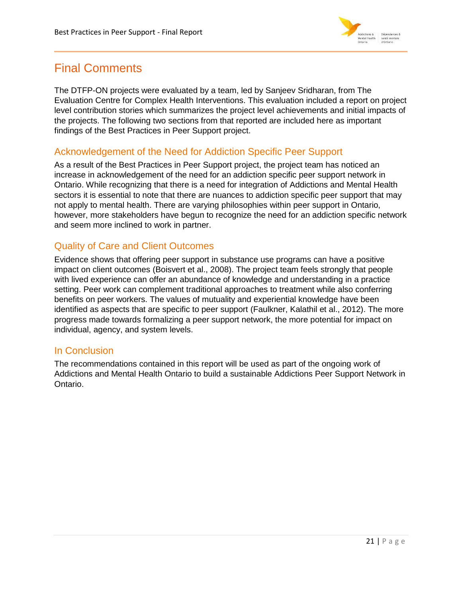

# <span id="page-21-0"></span>Final Comments

The DTFP-ON projects were evaluated by a team, led by Sanjeev Sridharan, from The Evaluation Centre for Complex Health Interventions. This evaluation included a report on project level contribution stories which summarizes the project level achievements and initial impacts of the projects. The following two sections from that reported are included here as important findings of the Best Practices in Peer Support project.

# <span id="page-21-1"></span>Acknowledgement of the Need for Addiction Specific Peer Support

As a result of the Best Practices in Peer Support project, the project team has noticed an increase in acknowledgement of the need for an addiction specific peer support network in Ontario. While recognizing that there is a need for integration of Addictions and Mental Health sectors it is essential to note that there are nuances to addiction specific peer support that may not apply to mental health. There are varying philosophies within peer support in Ontario, however, more stakeholders have begun to recognize the need for an addiction specific network and seem more inclined to work in partner.

# <span id="page-21-2"></span>Quality of Care and Client Outcomes

Evidence shows that offering peer support in substance use programs can have a positive impact on client outcomes (Boisvert et al., 2008). The project team feels strongly that people with lived experience can offer an abundance of knowledge and understanding in a practice setting. Peer work can complement traditional approaches to treatment while also conferring benefits on peer workers. The values of mutuality and experiential knowledge have been identified as aspects that are specific to peer support (Faulkner, Kalathil et al., 2012). The more progress made towards formalizing a peer support network, the more potential for impact on individual, agency, and system levels.

# <span id="page-21-3"></span>In Conclusion

The recommendations contained in this report will be used as part of the ongoing work of Addictions and Mental Health Ontario to build a sustainable Addictions Peer Support Network in Ontario.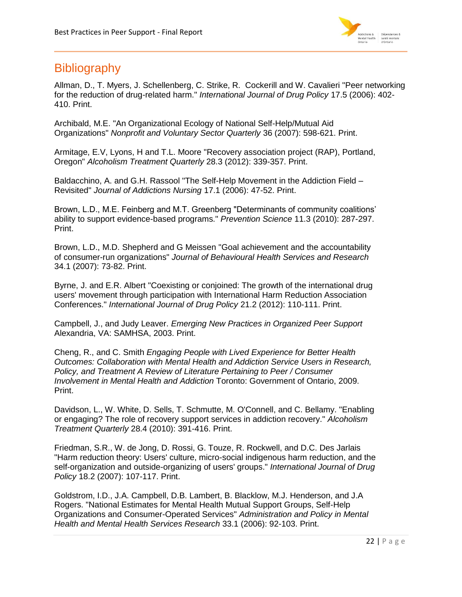

# <span id="page-22-0"></span>**Bibliography**

Allman, D., T. Myers, J. Schellenberg, C. Strike, R. Cockerill and W. Cavalieri "Peer networking for the reduction of drug-related harm." *International Journal of Drug Policy* 17.5 (2006): 402- 410. Print.

Archibald, M.E. "An Organizational Ecology of National Self-Help/Mutual Aid Organizations" *Nonprofit and Voluntary Sector Quarterly* 36 (2007): 598-621. Print.

Armitage, E.V, Lyons, H and T.L. Moore "Recovery association project (RAP), Portland, Oregon" *Alcoholism Treatment Quarterly* 28.3 (2012): 339-357. Print.

Baldacchino, A. and G.H. Rassool "The Self-Help Movement in the Addiction Field – Revisited" *Journal of Addictions Nursing* 17.1 (2006): 47-52. Print.

Brown, L.D., M.E. Feinberg and M.T. Greenberg "Determinants of community coalitions' ability to support evidence-based programs." *Prevention Science* 11.3 (2010): 287-297. Print.

Brown, L.D., M.D. Shepherd and G Meissen "Goal achievement and the accountability of consumer-run organizations" *Journal of Behavioural Health Services and Research* 34.1 (2007): 73-82. Print.

Byrne, J. and E.R. Albert "Coexisting or conjoined: The growth of the international drug users' movement through participation with International Harm Reduction Association Conferences." *International Journal of Drug Policy* 21.2 (2012): 110-111. Print.

Campbell, J., and Judy Leaver. *Emerging New Practices in Organized Peer Support* Alexandria, VA: SAMHSA, 2003. Print.

Cheng, R., and C. Smith *Engaging People with Lived Experience for Better Health Outcomes: Collaboration with Mental Health and Addiction Service Users in Research, Policy, and Treatment A Review of Literature Pertaining to Peer / Consumer Involvement in Mental Health and Addiction* Toronto: Government of Ontario, 2009. Print.

Davidson, L., W. White, D. Sells, T. Schmutte, M. O'Connell, and C. Bellamy. "Enabling or engaging? The role of recovery support services in addiction recovery." *Alcoholism Treatment Quarterly* 28.4 (2010): 391-416. Print.

Friedman, S.R., W. de Jong, D. Rossi, G. Touze, R. Rockwell, and D.C. Des Jarlais "Harm reduction theory: Users' culture, micro-social indigenous harm reduction, and the self-organization and outside-organizing of users' groups." *International Journal of Drug Policy* 18.2 (2007): 107-117. Print.

Goldstrom, I.D., J.A. Campbell, D.B. Lambert, B. Blacklow, M.J. Henderson, and J.A Rogers. "National Estimates for Mental Health Mutual Support Groups, Self-Help Organizations and Consumer-Operated Services" *Administration and Policy in Mental Health and Mental Health Services Research* 33.1 (2006): 92-103. Print.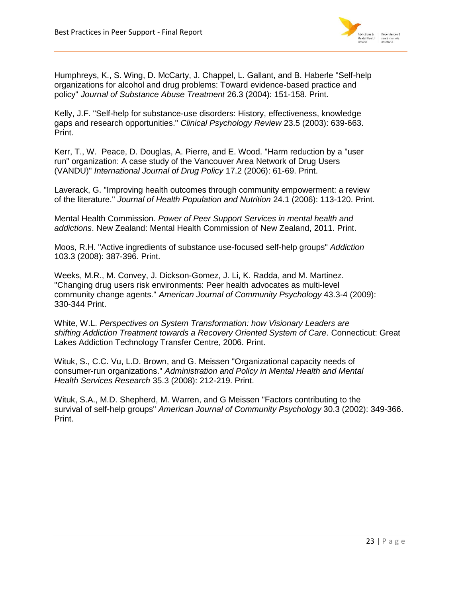

Humphreys, K., S. Wing, D. McCarty, J. Chappel, L. Gallant, and B. Haberle "Self-help organizations for alcohol and drug problems: Toward evidence-based practice and policy" *Journal of Substance Abuse Treatment* 26.3 (2004): 151-158. Print.

Kelly, J.F. "Self-help for substance-use disorders: History, effectiveness, knowledge gaps and research opportunities." *Clinical Psychology Review* 23.5 (2003): 639-663. Print.

Kerr, T., W. Peace, D. Douglas, A. Pierre, and E. Wood. "Harm reduction by a "user run" organization: A case study of the Vancouver Area Network of Drug Users (VANDU)" *International Journal of Drug Policy* 17.2 (2006): 61-69. Print.

Laverack, G. "Improving health outcomes through community empowerment: a review of the literature." *Journal of Health Population and Nutrition* 24.1 (2006): 113-120. Print.

Mental Health Commission. *Power of Peer Support Services in mental health and addictions*. New Zealand: Mental Health Commission of New Zealand, 2011. Print.

Moos, R.H. "Active ingredients of substance use-focused self-help groups" *Addiction* 103.3 (2008): 387-396. Print.

Weeks, M.R., M. Convey, J. Dickson-Gomez, J. Li, K. Radda, and M. Martinez. "Changing drug users risk environments: Peer health advocates as multi-level community change agents." *American Journal of Community Psychology* 43.3-4 (2009): 330-344 Print.

White, W.L. *Perspectives on System Transformation: how Visionary Leaders are shifting Addiction Treatment towards a Recovery Oriented System of Care*. Connecticut: Great Lakes Addiction Technology Transfer Centre, 2006. Print.

Wituk, S., C.C. Vu, L.D. Brown, and G. Meissen "Organizational capacity needs of consumer-run organizations." *Administration and Policy in Mental Health and Mental Health Services Research* 35.3 (2008): 212-219. Print.

Wituk, S.A., M.D. Shepherd, M. Warren, and G Meissen "Factors contributing to the survival of self-help groups" *American Journal of Community Psychology* 30.3 (2002): 349-366. Print.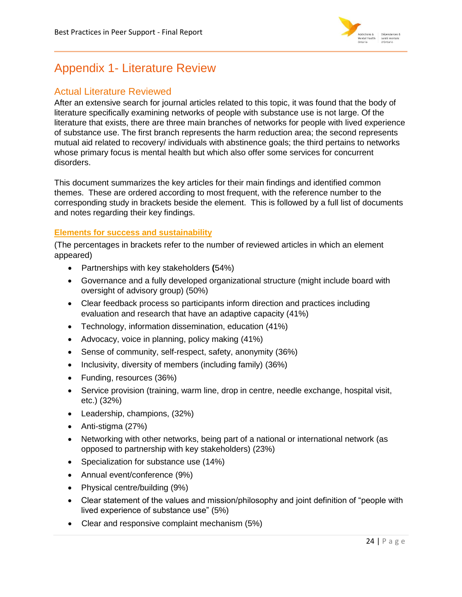

# <span id="page-24-0"></span>Appendix 1- Literature Review

# <span id="page-24-1"></span>Actual Literature Reviewed

After an extensive search for journal articles related to this topic, it was found that the body of literature specifically examining networks of people with substance use is not large. Of the literature that exists, there are three main branches of networks for people with lived experience of substance use. The first branch represents the harm reduction area; the second represents mutual aid related to recovery/ individuals with abstinence goals; the third pertains to networks whose primary focus is mental health but which also offer some services for concurrent disorders.

This document summarizes the key articles for their main findings and identified common themes. These are ordered according to most frequent, with the reference number to the corresponding study in brackets beside the element. This is followed by a full list of documents and notes regarding their key findings.

# **Elements for success and sustainability**

(The percentages in brackets refer to the number of reviewed articles in which an element appeared)

- Partnerships with key stakeholders **(**54%)
- Governance and a fully developed organizational structure (might include board with oversight of advisory group) (50%)
- Clear feedback process so participants inform direction and practices including evaluation and research that have an adaptive capacity (41%)
- Technology, information dissemination, education (41%)
- Advocacy, voice in planning, policy making (41%)
- Sense of community, self-respect, safety, anonymity (36%)
- Inclusivity, diversity of members (including family) (36%)
- Funding, resources (36%)
- Service provision (training, warm line, drop in centre, needle exchange, hospital visit, etc.) (32%)
- Leadership, champions, (32%)
- Anti-stigma (27%)
- Networking with other networks, being part of a national or international network (as opposed to partnership with key stakeholders) (23%)
- Specialization for substance use (14%)
- Annual event/conference (9%)
- Physical centre/building (9%)
- Clear statement of the values and mission/philosophy and joint definition of "people with lived experience of substance use" (5%)
- Clear and responsive complaint mechanism (5%)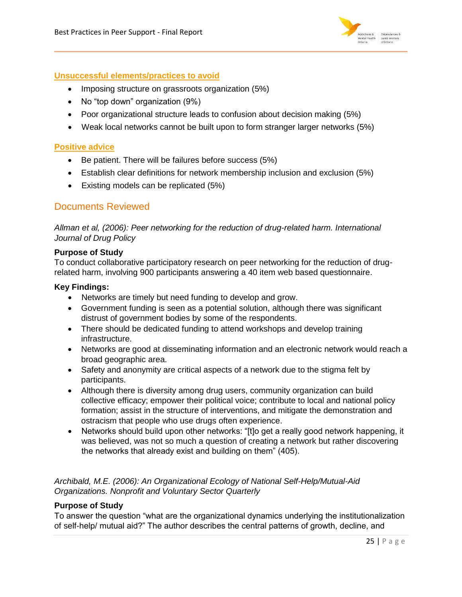

### **Unsuccessful elements/practices to avoid**

- Imposing structure on grassroots organization (5%)
- No "top down" organization (9%)
- Poor organizational structure leads to confusion about decision making (5%)
- Weak local networks cannot be built upon to form stranger larger networks (5%)

### **Positive advice**

- Be patient. There will be failures before success (5%)
- Establish clear definitions for network membership inclusion and exclusion (5%)
- Existing models can be replicated (5%)

# <span id="page-25-0"></span>Documents Reviewed

*Allman et al, (2006): Peer networking for the reduction of drug-related harm. International Journal of Drug Policy*

### **Purpose of Study**

To conduct collaborative participatory research on peer networking for the reduction of drugrelated harm, involving 900 participants answering a 40 item web based questionnaire.

### **Key Findings:**

- Networks are timely but need funding to develop and grow.
- Government funding is seen as a potential solution, although there was significant distrust of government bodies by some of the respondents.
- There should be dedicated funding to attend workshops and develop training infrastructure.
- Networks are good at disseminating information and an electronic network would reach a broad geographic area.
- Safety and anonymity are critical aspects of a network due to the stigma felt by participants.
- Although there is diversity among drug users, community organization can build collective efficacy; empower their political voice; contribute to local and national policy formation; assist in the structure of interventions, and mitigate the demonstration and ostracism that people who use drugs often experience.
- Networks should build upon other networks: "[t]o get a really good network happening, it was believed, was not so much a question of creating a network but rather discovering the networks that already exist and building on them" (405).

# *Archibald, M.E. (2006): An Organizational Ecology of National Self-Help/Mutual-Aid Organizations. Nonprofit and Voluntary Sector Quarterly*

# **Purpose of Study**

To answer the question "what are the organizational dynamics underlying the institutionalization of self-help/ mutual aid?" The author describes the central patterns of growth, decline, and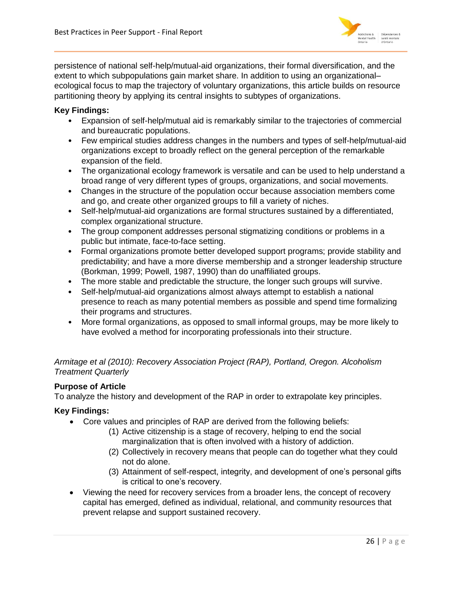

persistence of national self-help/mutual-aid organizations, their formal diversification, and the extent to which subpopulations gain market share. In addition to using an organizational– ecological focus to map the trajectory of voluntary organizations, this article builds on resource partitioning theory by applying its central insights to subtypes of organizations.

# **Key Findings:**

- Expansion of self-help/mutual aid is remarkably similar to the trajectories of commercial and bureaucratic populations.
- Few empirical studies address changes in the numbers and types of self-help/mutual-aid organizations except to broadly reflect on the general perception of the remarkable expansion of the field.
- The organizational ecology framework is versatile and can be used to help understand a broad range of very different types of groups, organizations, and social movements.
- Changes in the structure of the population occur because association members come and go, and create other organized groups to fill a variety of niches.
- Self-help/mutual-aid organizations are formal structures sustained by a differentiated, complex organizational structure.
- The group component addresses personal stigmatizing conditions or problems in a public but intimate, face-to-face setting.
- Formal organizations promote better developed support programs; provide stability and predictability; and have a more diverse membership and a stronger leadership structure (Borkman, 1999; Powell, 1987, 1990) than do unaffiliated groups.
- The more stable and predictable the structure, the longer such groups will survive.
- Self-help/mutual-aid organizations almost always attempt to establish a national presence to reach as many potential members as possible and spend time formalizing their programs and structures.
- More formal organizations, as opposed to small informal groups, may be more likely to have evolved a method for incorporating professionals into their structure.

*Armitage et al (2010): Recovery Association Project (RAP), Portland, Oregon. Alcoholism Treatment Quarterly* 

### **Purpose of Article**

To analyze the history and development of the RAP in order to extrapolate key principles.

- Core values and principles of RAP are derived from the following beliefs:
	- (1) Active citizenship is a stage of recovery, helping to end the social marginalization that is often involved with a history of addiction.
	- (2) Collectively in recovery means that people can do together what they could not do alone.
	- (3) Attainment of self-respect, integrity, and development of one's personal gifts is critical to one's recovery.
- Viewing the need for recovery services from a broader lens, the concept of recovery capital has emerged, defined as individual, relational, and community resources that prevent relapse and support sustained recovery.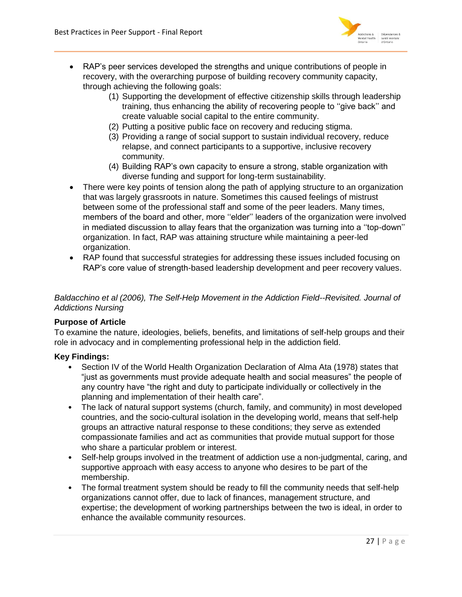

- RAP's peer services developed the strengths and unique contributions of people in recovery, with the overarching purpose of building recovery community capacity, through achieving the following goals:
	- (1) Supporting the development of effective citizenship skills through leadership training, thus enhancing the ability of recovering people to ''give back'' and create valuable social capital to the entire community.
	- (2) Putting a positive public face on recovery and reducing stigma.
	- (3) Providing a range of social support to sustain individual recovery, reduce relapse, and connect participants to a supportive, inclusive recovery community.
	- (4) Building RAP's own capacity to ensure a strong, stable organization with diverse funding and support for long-term sustainability.
- There were key points of tension along the path of applying structure to an organization that was largely grassroots in nature. Sometimes this caused feelings of mistrust between some of the professional staff and some of the peer leaders. Many times, members of the board and other, more ''elder'' leaders of the organization were involved in mediated discussion to allay fears that the organization was turning into a ''top-down'' organization. In fact, RAP was attaining structure while maintaining a peer-led organization.
- RAP found that successful strategies for addressing these issues included focusing on RAP's core value of strength-based leadership development and peer recovery values.

*Baldacchino et al (2006), The Self-Help Movement in the Addiction Field--Revisited. Journal of Addictions Nursing* 

# **Purpose of Article**

To examine the nature, ideologies, beliefs, benefits, and limitations of self-help groups and their role in advocacy and in complementing professional help in the addiction field.

- Section IV of the World Health Organization Declaration of Alma Ata (1978) states that "just as governments must provide adequate health and social measures" the people of any country have "the right and duty to participate individually or collectively in the planning and implementation of their health care".
- The lack of natural support systems (church, family, and community) in most developed countries, and the socio-cultural isolation in the developing world, means that self-help groups an attractive natural response to these conditions; they serve as extended compassionate families and act as communities that provide mutual support for those who share a particular problem or interest.
- Self-help groups involved in the treatment of addiction use a non-judgmental, caring, and supportive approach with easy access to anyone who desires to be part of the membership.
- The formal treatment system should be ready to fill the community needs that self-help organizations cannot offer, due to lack of finances, management structure, and expertise; the development of working partnerships between the two is ideal, in order to enhance the available community resources.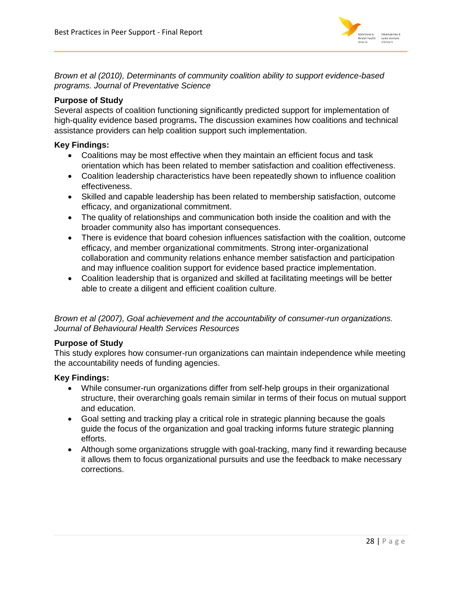

*Brown et al (2010), Determinants of community coalition ability to support evidence-based programs. Journal of Preventative Science*

# **Purpose of Study**

Several aspects of coalition functioning significantly predicted support for implementation of high-quality evidence based programs**.** The discussion examines how coalitions and technical assistance providers can help coalition support such implementation.

# **Key Findings:**

- Coalitions may be most effective when they maintain an efficient focus and task orientation which has been related to member satisfaction and coalition effectiveness.
- Coalition leadership characteristics have been repeatedly shown to influence coalition effectiveness.
- Skilled and capable leadership has been related to membership satisfaction, outcome efficacy, and organizational commitment.
- The quality of relationships and communication both inside the coalition and with the broader community also has important consequences.
- There is evidence that board cohesion influences satisfaction with the coalition, outcome efficacy, and member organizational commitments. Strong inter-organizational collaboration and community relations enhance member satisfaction and participation and may influence coalition support for evidence based practice implementation.
- Coalition leadership that is organized and skilled at facilitating meetings will be better able to create a diligent and efficient coalition culture.

*Brown et al (2007), Goal achievement and the accountability of consumer-run organizations. Journal of Behavioural Health Services Resources*

### **Purpose of Study**

This study explores how consumer-run organizations can maintain independence while meeting the accountability needs of funding agencies.

- While consumer-run organizations differ from self-help groups in their organizational structure, their overarching goals remain similar in terms of their focus on mutual support and education.
- Goal setting and tracking play a critical role in strategic planning because the goals guide the focus of the organization and goal tracking informs future strategic planning efforts.
- Although some organizations struggle with goal-tracking, many find it rewarding because it allows them to focus organizational pursuits and use the feedback to make necessary corrections.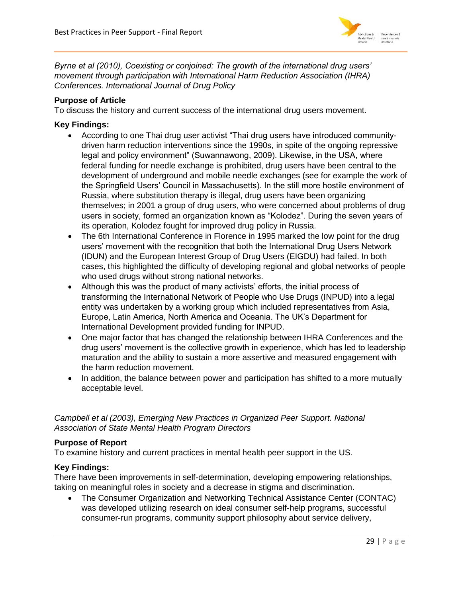

*Byrne et al (2010), Coexisting or conjoined: The growth of the international drug users' movement through participation with International Harm Reduction Association (IHRA) Conferences. International Journal of Drug Policy*

# **Purpose of Article**

To discuss the history and current success of the international drug users movement.

### **Key Findings:**

- According to one Thai drug user activist "Thai drug users have introduced communitydriven harm reduction interventions since the 1990s, in spite of the ongoing repressive legal and policy environment" (Suwannawong, 2009). Likewise, in the USA, where federal funding for needle exchange is prohibited, drug users have been central to the development of underground and mobile needle exchanges (see for example the work of the Springfield Users' Council in Massachusetts). In the still more hostile environment of Russia, where substitution therapy is illegal, drug users have been organizing themselves; in 2001 a group of drug users, who were concerned about problems of drug users in society, formed an organization known as "Kolodez". During the seven years of its operation, Kolodez fought for improved drug policy in Russia.
- The 6th International Conference in Florence in 1995 marked the low point for the drug users' movement with the recognition that both the International Drug Users Network (IDUN) and the European Interest Group of Drug Users (EIGDU) had failed. In both cases, this highlighted the difficulty of developing regional and global networks of people who used drugs without strong national networks.
- Although this was the product of many activists' efforts, the initial process of transforming the International Network of People who Use Drugs (INPUD) into a legal entity was undertaken by a working group which included representatives from Asia, Europe, Latin America, North America and Oceania. The UK's Department for International Development provided funding for INPUD.
- One major factor that has changed the relationship between IHRA Conferences and the drug users' movement is the collective growth in experience, which has led to leadership maturation and the ability to sustain a more assertive and measured engagement with the harm reduction movement.
- In addition, the balance between power and participation has shifted to a more mutually acceptable level.

# *Campbell et al (2003), Emerging New Practices in Organized Peer Support. National Association of State Mental Health Program Directors*

# **Purpose of Report**

To examine history and current practices in mental health peer support in the US.

### **Key Findings:**

There have been improvements in self-determination, developing empowering relationships, taking on meaningful roles in society and a decrease in stigma and discrimination.

 The Consumer Organization and Networking Technical Assistance Center (CONTAC) was developed utilizing research on ideal consumer self-help programs, successful consumer-run programs, community support philosophy about service delivery,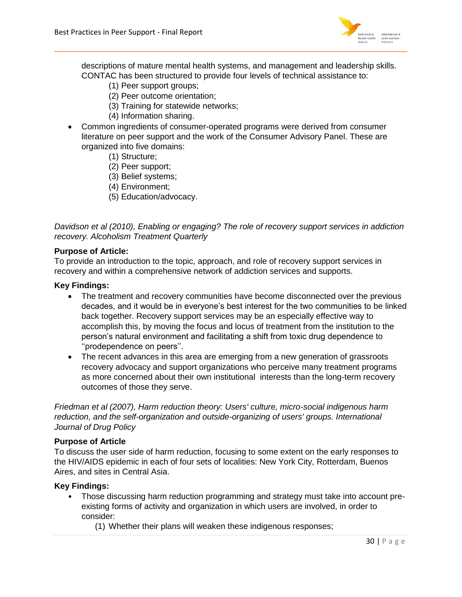

descriptions of mature mental health systems, and management and leadership skills. CONTAC has been structured to provide four levels of technical assistance to:

- (1) Peer support groups;
- (2) Peer outcome orientation;
- (3) Training for statewide networks;
- (4) Information sharing.
- Common ingredients of consumer-operated programs were derived from consumer literature on peer support and the work of the Consumer Advisory Panel. These are organized into five domains:
	- (1) Structure;
	- (2) Peer support;
	- (3) Belief systems;
	- (4) Environment;
	- (5) Education/advocacy.

*Davidson et al (2010), Enabling or engaging? The role of recovery support services in addiction recovery. Alcoholism Treatment Quarterly* 

#### **Purpose of Article:**

To provide an introduction to the topic, approach, and role of recovery support services in recovery and within a comprehensive network of addiction services and supports.

### **Key Findings:**

- The treatment and recovery communities have become disconnected over the previous decades, and it would be in everyone's best interest for the two communities to be linked back together. Recovery support services may be an especially effective way to accomplish this, by moving the focus and locus of treatment from the institution to the person's natural environment and facilitating a shift from toxic drug dependence to ''prodependence on peers''.
- The recent advances in this area are emerging from a new generation of grassroots recovery advocacy and support organizations who perceive many treatment programs as more concerned about their own institutional interests than the long-term recovery outcomes of those they serve.

*Friedman et al (2007), Harm reduction theory: Users' culture, micro-social indigenous harm reduction, and the self-organization and outside-organizing of users' groups. International Journal of Drug Policy* 

### **Purpose of Article**

To discuss the user side of harm reduction, focusing to some extent on the early responses to the HIV/AIDS epidemic in each of four sets of localities: New York City, Rotterdam, Buenos Aires, and sites in Central Asia.

- Those discussing harm reduction programming and strategy must take into account preexisting forms of activity and organization in which users are involved, in order to consider:
	- (1) Whether their plans will weaken these indigenous responses;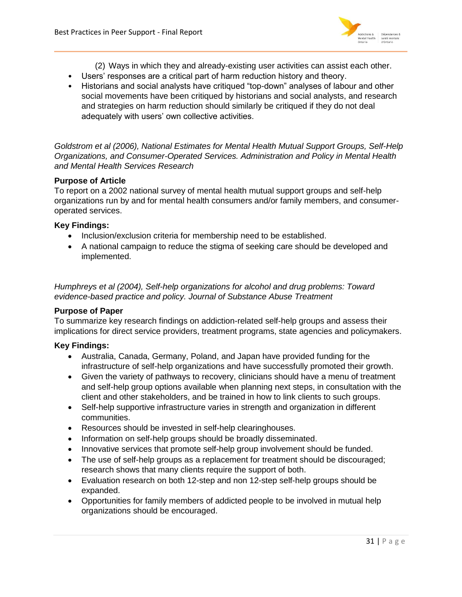

- (2) Ways in which they and already-existing user activities can assist each other.
- Users' responses are a critical part of harm reduction history and theory.
- Historians and social analysts have critiqued "top-down" analyses of labour and other social movements have been critiqued by historians and social analysts, and research and strategies on harm reduction should similarly be critiqued if they do not deal adequately with users' own collective activities.

*Goldstrom et al (2006), National Estimates for Mental Health Mutual Support Groups, Self-Help Organizations, and Consumer-Operated Services. Administration and Policy in Mental Health and Mental Health Services Research* 

### **Purpose of Article**

To report on a 2002 national survey of mental health mutual support groups and self-help organizations run by and for mental health consumers and/or family members, and consumeroperated services.

### **Key Findings:**

- Inclusion/exclusion criteria for membership need to be established.
- A national campaign to reduce the stigma of seeking care should be developed and implemented.

*Humphreys et al (2004), Self-help organizations for alcohol and drug problems: Toward evidence-based practice and policy. Journal of Substance Abuse Treatment*

### **Purpose of Paper**

To summarize key research findings on addiction-related self-help groups and assess their implications for direct service providers, treatment programs, state agencies and policymakers.

- Australia, Canada, Germany, Poland, and Japan have provided funding for the infrastructure of self-help organizations and have successfully promoted their growth.
- Given the variety of pathways to recovery, clinicians should have a menu of treatment and self-help group options available when planning next steps, in consultation with the client and other stakeholders, and be trained in how to link clients to such groups.
- Self-help supportive infrastructure varies in strength and organization in different communities.
- Resources should be invested in self-help clearinghouses.
- Information on self-help groups should be broadly disseminated.
- Innovative services that promote self-help group involvement should be funded.
- The use of self-help groups as a replacement for treatment should be discouraged; research shows that many clients require the support of both.
- Evaluation research on both 12-step and non 12-step self-help groups should be expanded.
- Opportunities for family members of addicted people to be involved in mutual help organizations should be encouraged.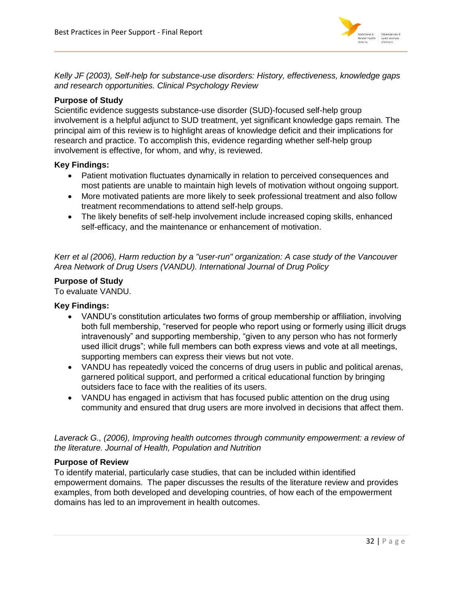

*Kelly JF (2003), Self-help for substance-use disorders: History, effectiveness, knowledge gaps and research opportunities. Clinical Psychology Review*

# **Purpose of Study**

Scientific evidence suggests substance-use disorder (SUD)-focused self-help group involvement is a helpful adjunct to SUD treatment, yet significant knowledge gaps remain. The principal aim of this review is to highlight areas of knowledge deficit and their implications for research and practice. To accomplish this, evidence regarding whether self-help group involvement is effective, for whom, and why, is reviewed.

# **Key Findings:**

- Patient motivation fluctuates dynamically in relation to perceived consequences and most patients are unable to maintain high levels of motivation without ongoing support.
- More motivated patients are more likely to seek professional treatment and also follow treatment recommendations to attend self-help groups.
- The likely benefits of self-help involvement include increased coping skills, enhanced self-efficacy, and the maintenance or enhancement of motivation.

*Kerr et al (2006), Harm reduction by a "user-run" organization: A case study of the Vancouver Area Network of Drug Users (VANDU). International Journal of Drug Policy*

# **Purpose of Study**

To evaluate VANDU.

# **Key Findings:**

- VANDU's constitution articulates two forms of group membership or affiliation, involving both full membership, "reserved for people who report using or formerly using illicit drugs intravenously" and supporting membership, "given to any person who has not formerly used illicit drugs"; while full members can both express views and vote at all meetings, supporting members can express their views but not vote.
- VANDU has repeatedly voiced the concerns of drug users in public and political arenas, garnered political support, and performed a critical educational function by bringing outsiders face to face with the realities of its users.
- VANDU has engaged in activism that has focused public attention on the drug using community and ensured that drug users are more involved in decisions that affect them.

Laverack G., (2006), Improving health outcomes through community empowerment: a review of *the literature. Journal of Health, Population and Nutrition*

# **Purpose of Review**

To identify material, particularly case studies, that can be included within identified empowerment domains. The paper discusses the results of the literature review and provides examples, from both developed and developing countries, of how each of the empowerment domains has led to an improvement in health outcomes.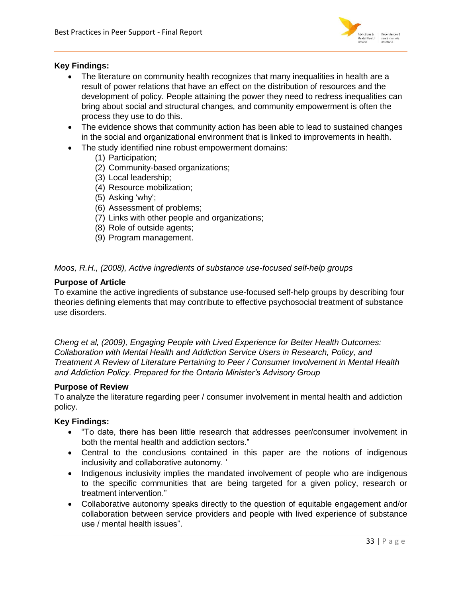

# **Key Findings:**

- The literature on community health recognizes that many inequalities in health are a result of power relations that have an effect on the distribution of resources and the development of policy. People attaining the power they need to redress inequalities can bring about social and structural changes, and community empowerment is often the process they use to do this.
- The evidence shows that community action has been able to lead to sustained changes in the social and organizational environment that is linked to improvements in health.
- The study identified nine robust empowerment domains:
	- (1) Participation;
	- (2) Community-based organizations;
	- (3) Local leadership;
	- (4) Resource mobilization;
	- (5) Asking 'why';
	- (6) Assessment of problems;
	- (7) Links with other people and organizations;
	- (8) Role of outside agents;
	- (9) Program management.

### *Moos, R.H., (2008), Active ingredients of substance use-focused self-help groups*

### **Purpose of Article**

To examine the active ingredients of substance use-focused self-help groups by describing four theories defining elements that may contribute to effective psychosocial treatment of substance use disorders.

*Cheng et al, (2009), Engaging People with Lived Experience for Better Health Outcomes: Collaboration with Mental Health and Addiction Service Users in Research, Policy, and Treatment A Review of Literature Pertaining to Peer / Consumer Involvement in Mental Health and Addiction Policy. Prepared for the Ontario Minister's Advisory Group* 

#### **Purpose of Review**

To analyze the literature regarding peer / consumer involvement in mental health and addiction policy.

- "To date, there has been little research that addresses peer/consumer involvement in both the mental health and addiction sectors."
- Central to the conclusions contained in this paper are the notions of indigenous inclusivity and collaborative autonomy. '
- Indigenous inclusivity implies the mandated involvement of people who are indigenous to the specific communities that are being targeted for a given policy, research or treatment intervention."
- Collaborative autonomy speaks directly to the question of equitable engagement and/or collaboration between service providers and people with lived experience of substance use / mental health issues".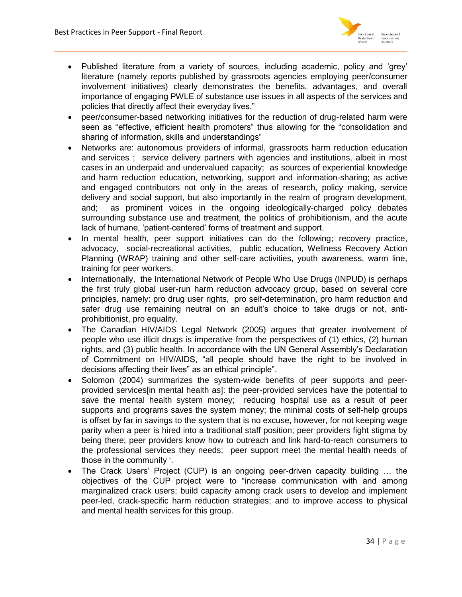

- Published literature from a variety of sources, including academic, policy and 'grey' literature (namely reports published by grassroots agencies employing peer/consumer involvement initiatives) clearly demonstrates the benefits, advantages, and overall importance of engaging PWLE of substance use issues in all aspects of the services and policies that directly affect their everyday lives."
- peer/consumer-based networking initiatives for the reduction of drug-related harm were seen as "effective, efficient health promoters" thus allowing for the "consolidation and sharing of information, skills and understandings"
- Networks are: autonomous providers of informal, grassroots harm reduction education and services ; service delivery partners with agencies and institutions, albeit in most cases in an underpaid and undervalued capacity; as sources of experiential knowledge and harm reduction education, networking, support and information-sharing; as active and engaged contributors not only in the areas of research, policy making, service delivery and social support, but also importantly in the realm of program development, and; as prominent voices in the ongoing ideologically-charged policy debates surrounding substance use and treatment, the politics of prohibitionism, and the acute lack of humane, 'patient-centered' forms of treatment and support.
- In mental health, peer support initiatives can do the following; recovery practice, advocacy, social-recreational activities, public education, Wellness Recovery Action Planning (WRAP) training and other self-care activities, youth awareness, warm line, training for peer workers.
- Internationally, the International Network of People Who Use Drugs (INPUD) is perhaps the first truly global user-run harm reduction advocacy group, based on several core principles, namely: pro drug user rights, pro self-determination, pro harm reduction and safer drug use remaining neutral on an adult's choice to take drugs or not, antiprohibitionist, pro equality.
- The Canadian HIV/AIDS Legal Network (2005) argues that greater involvement of people who use illicit drugs is imperative from the perspectives of (1) ethics, (2) human rights, and (3) public health. In accordance with the UN General Assembly's Declaration of Commitment on HIV/AIDS, "all people should have the right to be involved in decisions affecting their lives" as an ethical principle".
- Solomon (2004) summarizes the system-wide benefits of peer supports and peerprovided services[in mental health as]: the peer-provided services have the potential to save the mental health system money; reducing hospital use as a result of peer supports and programs saves the system money; the minimal costs of self-help groups is offset by far in savings to the system that is no excuse, however, for not keeping wage parity when a peer is hired into a traditional staff position; peer providers fight stigma by being there; peer providers know how to outreach and link hard-to-reach consumers to the professional services they needs; peer support meet the mental health needs of those in the community '.
- The Crack Users' Project (CUP) is an ongoing peer-driven capacity building … the objectives of the CUP project were to "increase communication with and among marginalized crack users; build capacity among crack users to develop and implement peer-led, crack-specific harm reduction strategies; and to improve access to physical and mental health services for this group.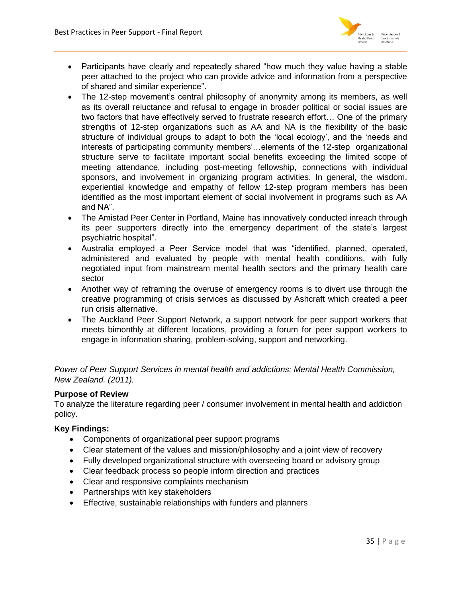

- Participants have clearly and repeatedly shared "how much they value having a stable peer attached to the project who can provide advice and information from a perspective of shared and similar experience".
- The 12-step movement's central philosophy of anonymity among its members, as well as its overall reluctance and refusal to engage in broader political or social issues are two factors that have effectively served to frustrate research effort… One of the primary strengths of 12-step organizations such as AA and NA is the flexibility of the basic structure of individual groups to adapt to both the 'local ecology', and the 'needs and interests of participating community members'…elements of the 12-step organizational structure serve to facilitate important social benefits exceeding the limited scope of meeting attendance, including post-meeting fellowship, connections with individual sponsors, and involvement in organizing program activities. In general, the wisdom, experiential knowledge and empathy of fellow 12-step program members has been identified as the most important element of social involvement in programs such as AA and NA".
- The Amistad Peer Center in Portland, Maine has innovatively conducted inreach through its peer supporters directly into the emergency department of the state's largest psychiatric hospital".
- Australia employed a Peer Service model that was "identified, planned, operated, administered and evaluated by people with mental health conditions, with fully negotiated input from mainstream mental health sectors and the primary health care sector
- Another way of reframing the overuse of emergency rooms is to divert use through the creative programming of crisis services as discussed by Ashcraft which created a peer run crisis alternative.
- The Auckland Peer Support Network, a support network for peer support workers that meets bimonthly at different locations, providing a forum for peer support workers to engage in information sharing, problem-solving, support and networking.

*Power of Peer Support Services in mental health and addictions: Mental Health Commission, New Zealand. (2011).*

# **Purpose of Review**

To analyze the literature regarding peer / consumer involvement in mental health and addiction policy.

- Components of organizational peer support programs
- Clear statement of the values and mission/philosophy and a joint view of recovery
- Fully developed organizational structure with overseeing board or advisory group
- Clear feedback process so people inform direction and practices
- Clear and responsive complaints mechanism
- Partnerships with key stakeholders
- **Effective, sustainable relationships with funders and planners**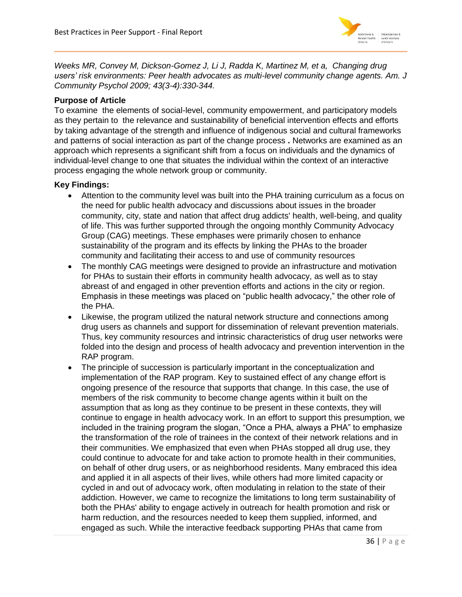

*Weeks MR, Convey M, Dickson-Gomez J, Li J, Radda K, Martinez M, et a, Changing drug users' risk environments: Peer health advocates as multi-level community change agents. Am. J Community Psychol 2009; 43(3-4):330-344.* 

# **Purpose of Article**

To examine the elements of social-level, community empowerment, and participatory models as they pertain to the relevance and sustainability of beneficial intervention effects and efforts by taking advantage of the strength and influence of indigenous social and cultural frameworks and patterns of social interaction as part of the change process **.** Networks are examined as an approach which represents a significant shift from a focus on individuals and the dynamics of individual-level change to one that situates the individual within the context of an interactive process engaging the whole network group or community.

- Attention to the community level was built into the PHA training curriculum as a focus on the need for public health advocacy and discussions about issues in the broader community, city, state and nation that affect drug addicts' health, well-being, and quality of life. This was further supported through the ongoing monthly Community Advocacy Group (CAG) meetings. These emphases were primarily chosen to enhance sustainability of the program and its effects by linking the PHAs to the broader community and facilitating their access to and use of community resources
- The monthly CAG meetings were designed to provide an infrastructure and motivation for PHAs to sustain their efforts in community health advocacy, as well as to stay abreast of and engaged in other prevention efforts and actions in the city or region. Emphasis in these meetings was placed on "public health advocacy," the other role of the PHA.
- Likewise, the program utilized the natural network structure and connections among drug users as channels and support for dissemination of relevant prevention materials. Thus, key community resources and intrinsic characteristics of drug user networks were folded into the design and process of health advocacy and prevention intervention in the RAP program.
- The principle of succession is particularly important in the conceptualization and implementation of the RAP program. Key to sustained effect of any change effort is ongoing presence of the resource that supports that change. In this case, the use of members of the risk community to become change agents within it built on the assumption that as long as they continue to be present in these contexts, they will continue to engage in health advocacy work. In an effort to support this presumption, we included in the training program the slogan, "Once a PHA, always a PHA" to emphasize the transformation of the role of trainees in the context of their network relations and in their communities. We emphasized that even when PHAs stopped all drug use, they could continue to advocate for and take action to promote health in their communities, on behalf of other drug users, or as neighborhood residents. Many embraced this idea and applied it in all aspects of their lives, while others had more limited capacity or cycled in and out of advocacy work, often modulating in relation to the state of their addiction. However, we came to recognize the limitations to long term sustainability of both the PHAs' ability to engage actively in outreach for health promotion and risk or harm reduction, and the resources needed to keep them supplied, informed, and engaged as such. While the interactive feedback supporting PHAs that came from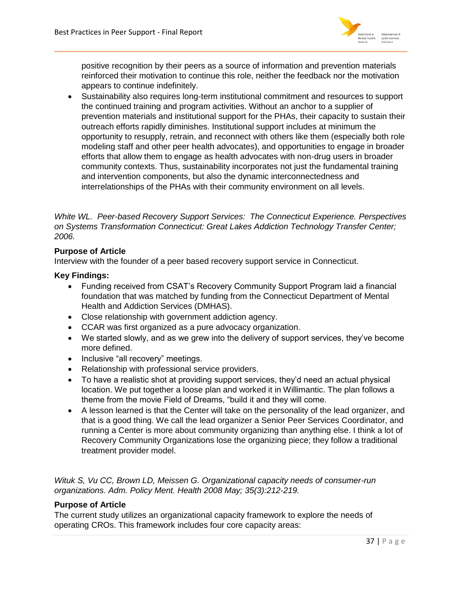

positive recognition by their peers as a source of information and prevention materials reinforced their motivation to continue this role, neither the feedback nor the motivation appears to continue indefinitely.

 Sustainability also requires long-term institutional commitment and resources to support the continued training and program activities. Without an anchor to a supplier of prevention materials and institutional support for the PHAs, their capacity to sustain their outreach efforts rapidly diminishes. Institutional support includes at minimum the opportunity to resupply, retrain, and reconnect with others like them (especially both role modeling staff and other peer health advocates), and opportunities to engage in broader efforts that allow them to engage as health advocates with non-drug users in broader community contexts. Thus, sustainability incorporates not just the fundamental training and intervention components, but also the dynamic interconnectedness and interrelationships of the PHAs with their community environment on all levels.

*White WL. Peer-based Recovery Support Services: The Connecticut Experience. Perspectives on Systems Transformation Connecticut: Great Lakes Addiction Technology Transfer Center; 2006.* 

# **Purpose of Article**

Interview with the founder of a peer based recovery support service in Connecticut.

### **Key Findings:**

- Funding received from CSAT's Recovery Community Support Program laid a financial foundation that was matched by funding from the Connecticut Department of Mental Health and Addiction Services (DMHAS).
- Close relationship with government addiction agency.
- CCAR was first organized as a pure advocacy organization.
- We started slowly, and as we grew into the delivery of support services, they've become more defined.
- Inclusive "all recovery" meetings.
- Relationship with professional service providers.
- To have a realistic shot at providing support services, they'd need an actual physical location. We put together a loose plan and worked it in Willimantic. The plan follows a theme from the movie Field of Dreams, "build it and they will come.
- A lesson learned is that the Center will take on the personality of the lead organizer, and that is a good thing. We call the lead organizer a Senior Peer Services Coordinator, and running a Center is more about community organizing than anything else. I think a lot of Recovery Community Organizations lose the organizing piece; they follow a traditional treatment provider model.

*Wituk S, Vu CC, Brown LD, Meissen G. Organizational capacity needs of consumer-run organizations. Adm. Policy Ment. Health 2008 May; 35(3):212-219.* 

### **Purpose of Article**

The current study utilizes an organizational capacity framework to explore the needs of operating CROs. This framework includes four core capacity areas: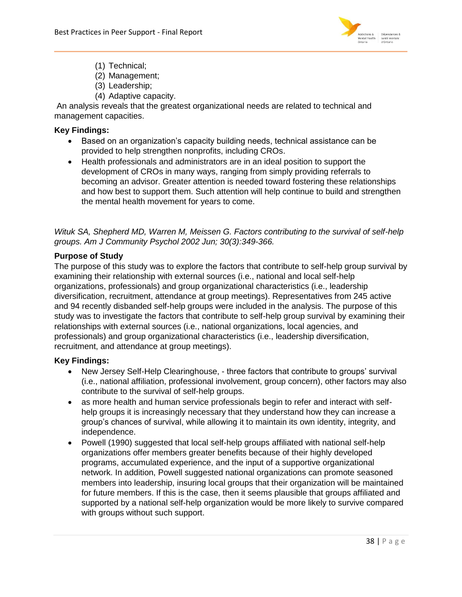

- (1) Technical;
- (2) Management;
- (3) Leadership;
- (4) Adaptive capacity.

An analysis reveals that the greatest organizational needs are related to technical and management capacities.

# **Key Findings:**

- Based on an organization's capacity building needs, technical assistance can be provided to help strengthen nonprofits, including CROs.
- Health professionals and administrators are in an ideal position to support the development of CROs in many ways, ranging from simply providing referrals to becoming an advisor. Greater attention is needed toward fostering these relationships and how best to support them. Such attention will help continue to build and strengthen the mental health movement for years to come.

*Wituk SA, Shepherd MD, Warren M, Meissen G. Factors contributing to the survival of self-help groups. Am J Community Psychol 2002 Jun; 30(3):349-366.* 

# **Purpose of Study**

The purpose of this study was to explore the factors that contribute to self-help group survival by examining their relationship with external sources (i.e., national and local self-help organizations, professionals) and group organizational characteristics (i.e., leadership diversification, recruitment, attendance at group meetings). Representatives from 245 active and 94 recently disbanded self-help groups were included in the analysis. The purpose of this study was to investigate the factors that contribute to self-help group survival by examining their relationships with external sources (i.e., national organizations, local agencies, and professionals) and group organizational characteristics (i.e., leadership diversification, recruitment, and attendance at group meetings).

- New Jersey Self-Help Clearinghouse, three factors that contribute to groups' survival (i.e., national affiliation, professional involvement, group concern), other factors may also contribute to the survival of self-help groups.
- as more health and human service professionals begin to refer and interact with selfhelp groups it is increasingly necessary that they understand how they can increase a group's chances of survival, while allowing it to maintain its own identity, integrity, and independence.
- Powell (1990) suggested that local self-help groups affiliated with national self-help organizations offer members greater benefits because of their highly developed programs, accumulated experience, and the input of a supportive organizational network. In addition, Powell suggested national organizations can promote seasoned members into leadership, insuring local groups that their organization will be maintained for future members. If this is the case, then it seems plausible that groups affiliated and supported by a national self-help organization would be more likely to survive compared with groups without such support.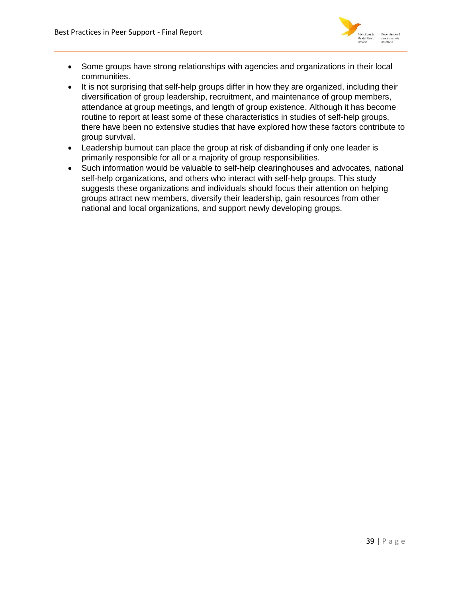

- Some groups have strong relationships with agencies and organizations in their local communities.
- It is not surprising that self-help groups differ in how they are organized, including their diversification of group leadership, recruitment, and maintenance of group members, attendance at group meetings, and length of group existence. Although it has become routine to report at least some of these characteristics in studies of self-help groups, there have been no extensive studies that have explored how these factors contribute to group survival.
- Leadership burnout can place the group at risk of disbanding if only one leader is primarily responsible for all or a majority of group responsibilities.
- Such information would be valuable to self-help clearinghouses and advocates, national self-help organizations, and others who interact with self-help groups. This study suggests these organizations and individuals should focus their attention on helping groups attract new members, diversify their leadership, gain resources from other national and local organizations, and support newly developing groups.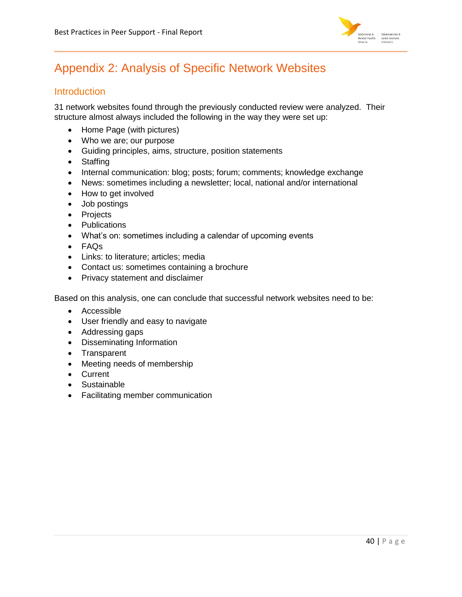

# <span id="page-40-0"></span>Appendix 2: Analysis of Specific Network Websites

# <span id="page-40-1"></span>**Introduction**

31 network websites found through the previously conducted review were analyzed. Their structure almost always included the following in the way they were set up:

- Home Page (with pictures)
- Who we are; our purpose
- Guiding principles, aims, structure, position statements
- Staffing
- Internal communication: blog; posts; forum; comments; knowledge exchange
- News: sometimes including a newsletter; local, national and/or international
- How to get involved
- Job postings
- Projects
- Publications
- What's on: sometimes including a calendar of upcoming events
- FAQs
- Links: to literature; articles; media
- Contact us: sometimes containing a brochure
- Privacy statement and disclaimer

Based on this analysis, one can conclude that successful network websites need to be:

- Accessible
- User friendly and easy to navigate
- Addressing gaps
- Disseminating Information
- Transparent
- Meeting needs of membership
- Current
- Sustainable
- Facilitating member communication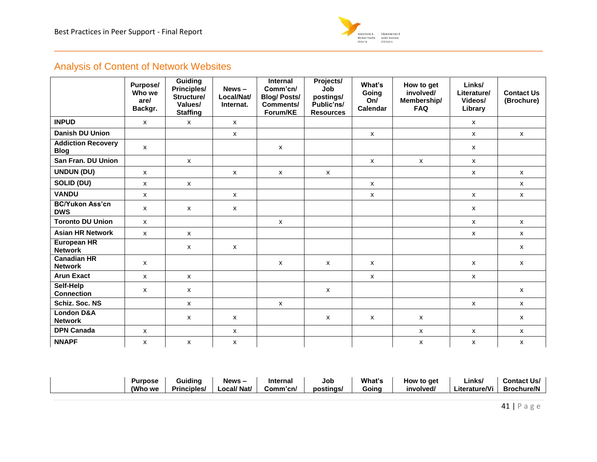

# Analysis of Content of Network Websites

<span id="page-41-0"></span>

|                                          | Purpose/<br>Who we<br>are/<br>Backgr. | <b>Guiding</b><br><b>Principles/</b><br>Structure/<br>Values/<br><b>Staffing</b> | $News -$<br>Local/Nat/<br>Internat. | <b>Internal</b><br>Comm'cn/<br><b>Blog/Posts/</b><br>Comments/<br>Forum/KE | Projects/<br>Job<br>postings/<br>Public'ns/<br><b>Resources</b> | What's<br>Going<br>On/<br><b>Calendar</b> | How to get<br>involved/<br>Membership/<br><b>FAQ</b> | Links/<br>Literature/<br>Videos/<br>Library | <b>Contact Us</b><br>(Brochure) |
|------------------------------------------|---------------------------------------|----------------------------------------------------------------------------------|-------------------------------------|----------------------------------------------------------------------------|-----------------------------------------------------------------|-------------------------------------------|------------------------------------------------------|---------------------------------------------|---------------------------------|
| <b>INPUD</b>                             | $\mathsf{x}$                          | $\mathsf{x}$                                                                     | $\mathsf{x}$                        |                                                                            |                                                                 |                                           |                                                      | $\mathsf{x}$                                |                                 |
| Danish DU Union                          |                                       |                                                                                  | $\mathsf{x}$                        |                                                                            |                                                                 | X                                         |                                                      | $\mathsf{x}$                                | $\mathsf{x}$                    |
| <b>Addiction Recovery</b><br><b>Blog</b> | X                                     |                                                                                  |                                     | $\mathsf{x}$                                                               |                                                                 |                                           |                                                      | $\mathsf{x}$                                |                                 |
| San Fran. DU Union                       |                                       | $\mathsf{x}$                                                                     |                                     |                                                                            |                                                                 | X                                         | $\mathsf{x}$                                         | $\mathsf{x}$                                |                                 |
| <b>UNDUN (DU)</b>                        | X                                     |                                                                                  | x                                   | $\mathsf{x}$                                                               | x                                                               |                                           |                                                      | $\mathsf{x}$                                | $\mathsf{x}$                    |
| SOLID (DU)                               | X                                     | x                                                                                |                                     |                                                                            |                                                                 | X                                         |                                                      |                                             | $\mathsf{x}$                    |
| <b>VANDU</b>                             | X                                     |                                                                                  | x                                   |                                                                            |                                                                 | X                                         |                                                      | $\mathsf{x}$                                | X                               |
| <b>BC/Yukon Ass'cn</b><br><b>DWS</b>     | X                                     | x                                                                                | X                                   |                                                                            |                                                                 |                                           |                                                      | $\mathsf{x}$                                |                                 |
| <b>Toronto DU Union</b>                  | $\mathsf{x}$                          |                                                                                  |                                     | $\mathsf{x}$                                                               |                                                                 |                                           |                                                      | $\mathsf{x}$                                | $\mathsf{x}$                    |
| <b>Asian HR Network</b>                  | X                                     | $\mathsf{x}$                                                                     |                                     |                                                                            |                                                                 |                                           |                                                      | $\mathsf{x}$                                | $\mathsf{x}$                    |
| <b>European HR</b><br><b>Network</b>     |                                       | $\mathsf{x}$                                                                     | $\mathsf{x}$                        |                                                                            |                                                                 |                                           |                                                      |                                             | $\mathsf{x}$                    |
| <b>Canadian HR</b><br><b>Network</b>     | $\mathsf{x}$                          |                                                                                  |                                     | $\mathsf{x}$                                                               | $\mathsf{x}$                                                    | $\mathsf{x}$                              |                                                      | $\mathsf{x}$                                | $\mathsf{x}$                    |
| <b>Arun Exact</b>                        | X                                     | $\mathsf{x}$                                                                     |                                     |                                                                            |                                                                 | $\boldsymbol{\mathsf{x}}$                 |                                                      | $\mathsf{x}$                                |                                 |
| Self-Help<br><b>Connection</b>           | X                                     | x                                                                                |                                     |                                                                            | x                                                               |                                           |                                                      |                                             | $\mathsf{x}$                    |
| Schiz. Soc. NS                           |                                       | $\mathsf{x}$                                                                     |                                     | $\mathsf{x}$                                                               |                                                                 |                                           |                                                      | $\mathsf{x}$                                | $\mathsf{x}$                    |
| <b>London D&amp;A</b><br><b>Network</b>  |                                       | $\mathsf{x}$                                                                     | X                                   |                                                                            | $\mathsf{x}$                                                    | $\boldsymbol{\mathsf{x}}$                 | X                                                    |                                             | $\mathsf{x}$                    |
| <b>DPN Canada</b>                        | X                                     |                                                                                  | X                                   |                                                                            |                                                                 |                                           | $\pmb{\mathsf{X}}$                                   | $\boldsymbol{\mathsf{x}}$                   | $\mathsf{x}$                    |
| <b>NNAPF</b>                             | X                                     | X                                                                                | X                                   |                                                                            |                                                                 |                                           | $\pmb{\mathsf{X}}$                                   | X                                           | X                               |

| <b>Purpose</b> | .<br>Guiding       | News-       | Internal | Job       | What's | How to get | Links         | <b>Contact Us/</b> |
|----------------|--------------------|-------------|----------|-----------|--------|------------|---------------|--------------------|
| (Who we        | <b>Principles/</b> | ∟ocal/ Nat/ | Comm'cn/ | postings/ | Goina  | involved/  | ∟iterature/Vi | <b>Brochure/N</b>  |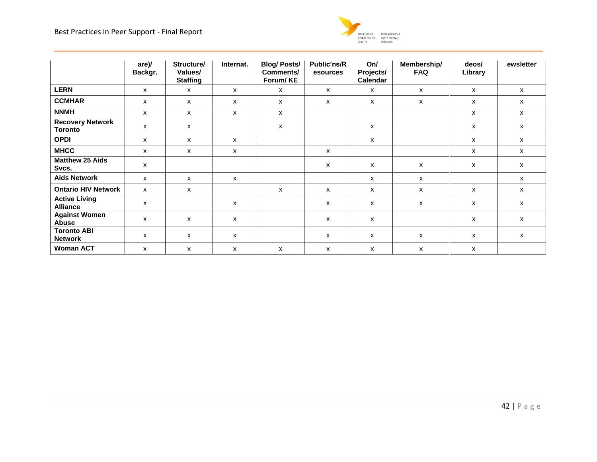

|                                           | are)/<br>Backgr. | Structure/<br>Values/<br><b>Staffing</b> | Internat.    | <b>Blog/Posts/</b><br>Comments/<br>Forum/KE | Public'ns/R<br>esources | On/<br>Projects/<br>Calendar | Membership/<br><b>FAQ</b> | deos/<br>Library | ewsletter |
|-------------------------------------------|------------------|------------------------------------------|--------------|---------------------------------------------|-------------------------|------------------------------|---------------------------|------------------|-----------|
| <b>LERN</b>                               | x                | x                                        | $\mathsf{x}$ | $\mathsf{x}$                                | $\mathsf{x}$            | X                            | X                         | $\mathsf{x}$     | X         |
| <b>CCMHAR</b>                             | x                | X                                        | x            | X                                           | x                       | X                            | X                         | x                | X         |
| <b>NNMH</b>                               | $\mathsf{x}$     | X                                        | $\mathsf{x}$ | x                                           |                         |                              |                           | $\mathsf{x}$     | x         |
| <b>Recovery Network</b><br><b>Toronto</b> | X                | X                                        |              | $\boldsymbol{\mathsf{x}}$                   |                         | X                            |                           | X                | x         |
| <b>OPDI</b>                               | X                | x                                        | x            |                                             |                         | X                            |                           | x                | X         |
| <b>MHCC</b>                               | x                | x                                        | $\mathsf{x}$ |                                             | x                       |                              |                           | $\mathsf{x}$     | x         |
| <b>Matthew 25 Aids</b><br>Svcs.           | X                |                                          |              |                                             | x                       | $\boldsymbol{\mathsf{x}}$    | x                         | x                | x         |
| <b>Aids Network</b>                       | x                | X                                        | $\mathsf{x}$ |                                             |                         | X                            | x                         |                  | x         |
| <b>Ontario HIV Network</b>                | $\mathsf{x}$     | X                                        |              | $\mathsf{x}$                                | $\mathsf{x}$            | $\boldsymbol{\mathsf{x}}$    | X                         | x                | x         |
| <b>Active Living</b><br><b>Alliance</b>   | X                |                                          | $\mathsf{x}$ |                                             | X                       | X                            | X                         | X                | X         |
| <b>Against Women</b><br>Abuse             | X                | X                                        | $\mathsf{x}$ |                                             | x                       | X                            |                           | X                | X         |
| <b>Toronto ABI</b><br><b>Network</b>      | X                | X                                        | $\mathsf{x}$ |                                             | x                       | $\boldsymbol{\mathsf{x}}$    | X                         | X                | x         |
| <b>Woman ACT</b>                          | x                | X                                        | $\mathsf{x}$ | X                                           | x                       | $\boldsymbol{\mathsf{x}}$    | x                         | x                |           |